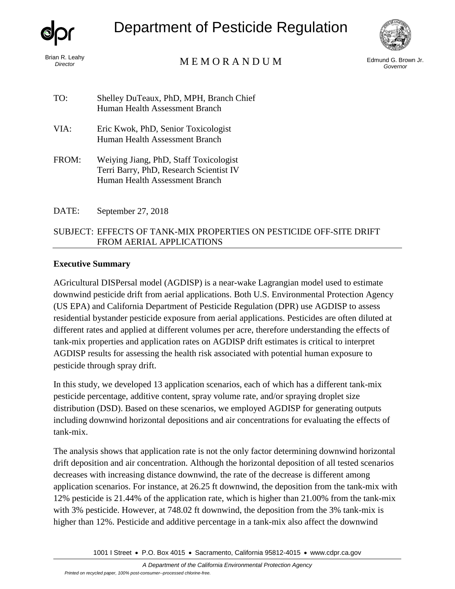

*Director*

Department of Pesticide Regulation



# Edmund G. Brown Jr. M E M O R A N D U M *Governor*

| TO:   | Shelley DuTeaux, PhD, MPH, Branch Chief<br>Human Health Assessment Branch                                           |
|-------|---------------------------------------------------------------------------------------------------------------------|
| VIA:  | Eric Kwok, PhD, Senior Toxicologist<br>Human Health Assessment Branch                                               |
| FROM: | Weiying Jiang, PhD, Staff Toxicologist<br>Terri Barry, PhD, Research Scientist IV<br>Human Health Assessment Branch |

DATE: September 27, 2018

# SUBJECT: EFFECTS OF TANK-MIX PROPERTIES ON PESTICIDE OFF-SITE DRIFT FROM AERIAL APPLICATIONS

### **Executive Summary**

AGricultural DISPersal model (AGDISP) is a near-wake Lagrangian model used to estimate downwind pesticide drift from aerial applications. Both U.S. Environmental Protection Agency (US EPA) and California Department of Pesticide Regulation (DPR) use AGDISP to assess residential bystander pesticide exposure from aerial applications. Pesticides are often diluted at different rates and applied at different volumes per acre, therefore understanding the effects of tank-mix properties and application rates on AGDISP drift estimates is critical to interpret AGDISP results for assessing the health risk associated with potential human exposure to pesticide through spray drift.

In this study, we developed 13 application scenarios, each of which has a different tank-mix pesticide percentage, additive content, spray volume rate, and/or spraying droplet size distribution (DSD). Based on these scenarios, we employed AGDISP for generating outputs including downwind horizontal depositions and air concentrations for evaluating the effects of tank-mix.

The analysis shows that application rate is not the only factor determining downwind horizontal drift deposition and air concentration. Although the horizontal deposition of all tested scenarios decreases with increasing distance downwind, the rate of the decrease is different among application scenarios. For instance, at 26.25 ft downwind, the deposition from the tank-mix with 12% pesticide is 21.44% of the application rate, which is higher than 21.00% from the tank-mix with 3% pesticide. However, at 748.02 ft downwind, the deposition from the 3% tank-mix is higher than 12%. Pesticide and additive percentage in a tank-mix also affect the downwind

1001 I Street • P.O. Box 4015 • Sacramento, California 95812-4015 • [www.cdpr.ca.gov](http://www.cdpr.ca.gov/)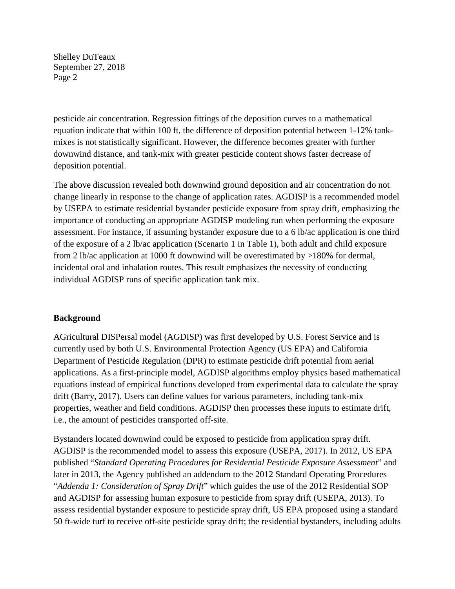pesticide air concentration. Regression fittings of the deposition curves to a mathematical equation indicate that within 100 ft, the difference of deposition potential between 1-12% tankmixes is not statistically significant. However, the difference becomes greater with further downwind distance, and tank-mix with greater pesticide content shows faster decrease of deposition potential.

The above discussion revealed both downwind ground deposition and air concentration do not change linearly in response to the change of application rates. AGDISP is a recommended model by USEPA to estimate residential bystander pesticide exposure from spray drift, emphasizing the importance of conducting an appropriate AGDISP modeling run when performing the exposure assessment. For instance, if assuming bystander exposure due to a 6 lb/ac application is one third of the exposure of a 2 lb/ac application (Scenario 1 in Table 1), both adult and child exposure from 2 lb/ac application at 1000 ft downwind will be overestimated by >180% for dermal, incidental oral and inhalation routes. This result emphasizes the necessity of conducting individual AGDISP runs of specific application tank mix.

## **Background**

AGricultural DISPersal model (AGDISP) was first developed by U.S. Forest Service and is currently used by both U.S. Environmental Protection Agency (US EPA) and California Department of Pesticide Regulation (DPR) to estimate pesticide drift potential from aerial applications. As a first-principle model, AGDISP algorithms employ physics based mathematical equations instead of empirical functions developed from experimental data to calculate the spray drift (Barry, 2017). Users can define values for various parameters, including tank-mix properties, weather and field conditions. AGDISP then processes these inputs to estimate drift, i.e., the amount of pesticides transported off-site.

Bystanders located downwind could be exposed to pesticide from application spray drift. AGDISP is the recommended model to assess this exposure (USEPA, 2017). In 2012, US EPA published "*Standard Operating Procedures for Residential Pesticide Exposure Assessment*" and later in 2013, the Agency published an addendum to the 2012 Standard Operating Procedures "*Addenda 1: Consideration of Spray Drift*" which guides the use of the 2012 Residential SOP and AGDISP for assessing human exposure to pesticide from spray drift (USEPA, 2013). To assess residential bystander exposure to pesticide spray drift, US EPA proposed using a standard 50 ft-wide turf to receive off-site pesticide spray drift; the residential bystanders, including adults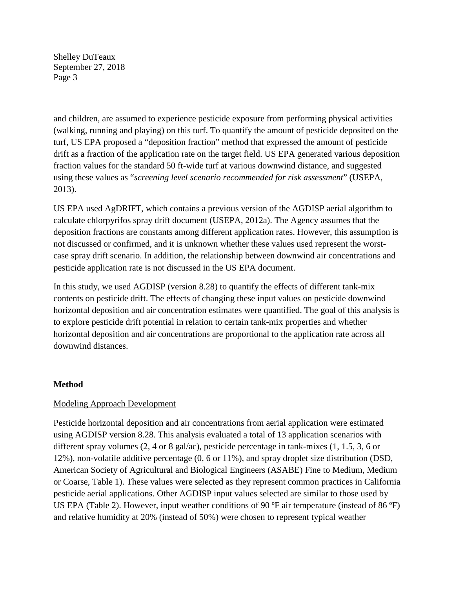and children, are assumed to experience pesticide exposure from performing physical activities (walking, running and playing) on this turf. To quantify the amount of pesticide deposited on the turf, US EPA proposed a "deposition fraction" method that expressed the amount of pesticide drift as a fraction of the application rate on the target field. US EPA generated various deposition fraction values for the standard 50 ft-wide turf at various downwind distance, and suggested using these values as "*screening level scenario recommended for risk assessment*" (USEPA, 2013).

US EPA used AgDRIFT, which contains a previous version of the AGDISP aerial algorithm to calculate chlorpyrifos spray drift document (USEPA, 2012a). The Agency assumes that the deposition fractions are constants among different application rates. However, this assumption is not discussed or confirmed, and it is unknown whether these values used represent the worstcase spray drift scenario. In addition, the relationship between downwind air concentrations and pesticide application rate is not discussed in the US EPA document.

In this study, we used AGDISP (version 8.28) to quantify the effects of different tank-mix contents on pesticide drift. The effects of changing these input values on pesticide downwind horizontal deposition and air concentration estimates were quantified. The goal of this analysis is to explore pesticide drift potential in relation to certain tank-mix properties and whether horizontal deposition and air concentrations are proportional to the application rate across all downwind distances.

## **Method**

## Modeling Approach Development

Pesticide horizontal deposition and air concentrations from aerial application were estimated using AGDISP version 8.28. This analysis evaluated a total of 13 application scenarios with different spray volumes (2, 4 or 8 gal/ac), pesticide percentage in tank-mixes (1, 1.5, 3, 6 or 12%), non-volatile additive percentage (0, 6 or 11%), and spray droplet size distribution (DSD, American Society of Agricultural and Biological Engineers (ASABE) Fine to Medium, Medium or Coarse, Table 1). These values were selected as they represent common practices in California pesticide aerial applications. Other AGDISP input values selected are similar to those used by US EPA (Table 2). However, input weather conditions of 90 ºF air temperature (instead of 86 ºF) and relative humidity at 20% (instead of 50%) were chosen to represent typical weather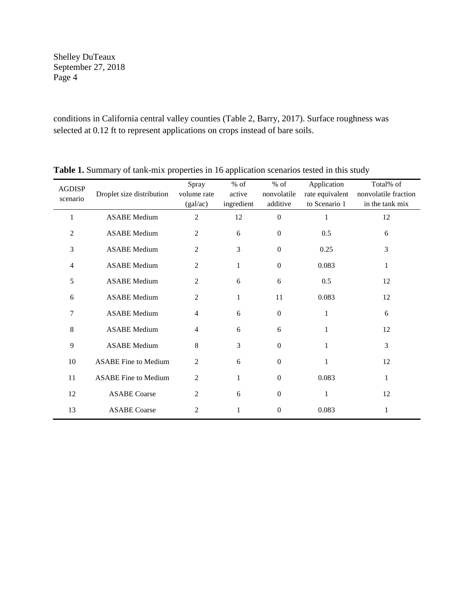conditions in California central valley counties (Table 2, Barry, 2017). Surface roughness was selected at 0.12 ft to represent applications on crops instead of bare soils.

| <b>AGDISP</b>  |                             | Spray          | $%$ of       | $%$ of           | Application     | Total% of            |
|----------------|-----------------------------|----------------|--------------|------------------|-----------------|----------------------|
| scenario       | Droplet size distribution   | volume rate    | active       | nonvolatile      | rate equivalent | nonvolatile fraction |
|                |                             | (gal/ac)       | ingredient   | additive         | to Scenario 1   | in the tank mix      |
| 1              | <b>ASABE</b> Medium         | $\overline{2}$ | 12           | $\boldsymbol{0}$ | 1               | 12                   |
| $\overline{c}$ | <b>ASABE</b> Medium         | $\overline{2}$ | 6            | $\overline{0}$   | 0.5             | 6                    |
| 3              | <b>ASABE</b> Medium         | $\overline{2}$ | 3            | $\mathbf{0}$     | 0.25            | 3                    |
| $\overline{4}$ | <b>ASABE</b> Medium         | 2              | $\mathbf{1}$ | $\mathbf{0}$     | 0.083           | $\mathbf{1}$         |
| 5              | <b>ASABE</b> Medium         | $\overline{2}$ | 6            | 6                | 0.5             | 12                   |
| 6              | <b>ASABE</b> Medium         | $\overline{2}$ | $\mathbf{1}$ | 11               | 0.083           | 12                   |
| 7              | <b>ASABE</b> Medium         | $\overline{4}$ | 6            | $\boldsymbol{0}$ | $\mathbf{1}$    | 6                    |
| 8              | <b>ASABE</b> Medium         | $\overline{4}$ | 6            | 6                | 1               | 12                   |
| 9              | <b>ASABE</b> Medium         | 8              | 3            | $\mathbf{0}$     | 1               | 3                    |
| 10             | <b>ASABE Fine to Medium</b> | $\overline{2}$ | 6            | $\mathbf{0}$     | 1               | 12                   |
| 11             | <b>ASABE Fine to Medium</b> | $\overline{2}$ | 1            | $\overline{0}$   | 0.083           | $\mathbf{1}$         |
| 12             | <b>ASABE</b> Coarse         | 2              | 6            | $\boldsymbol{0}$ | 1               | 12                   |
| 13             | <b>ASABE</b> Coarse         | 2              | 1            | $\boldsymbol{0}$ | 0.083           | 1                    |

Table 1. Summary of tank-mix properties in 16 application scenarios tested in this study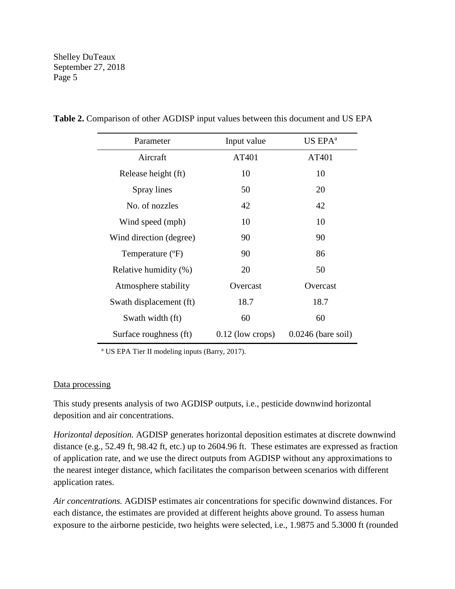| Parameter               | Input value        | $US$ $EPAa$          |
|-------------------------|--------------------|----------------------|
| Aircraft                | AT401              | AT401                |
| Release height (ft)     | 10                 | 10                   |
| Spray lines             | 50                 | 20                   |
| No. of nozzles          | 42                 | 42                   |
| Wind speed (mph)        | 10                 | 10                   |
| Wind direction (degree) | 90                 | 90                   |
| Temperature (°F)        | 90                 | 86                   |
| Relative humidity (%)   | 20                 | 50                   |
| Atmosphere stability    | Overcast           | Overcast             |
| Swath displacement (ft) | 18.7               | 18.7                 |
| Swath width (ft)        | 60                 | 60                   |
| Surface roughness (ft)  | $0.12$ (low crops) | $0.0246$ (bare soil) |

**Table 2.** Comparison of other AGDISP input values between this document and US EPA

<sup>a</sup> US EPA Tier II modeling inputs (Barry, 2017).

#### Data processing

This study presents analysis of two AGDISP outputs, i.e., pesticide downwind horizontal deposition and air concentrations.

*Horizontal deposition.* AGDISP generates horizontal deposition estimates at discrete downwind distance (e.g., 52.49 ft, 98.42 ft, etc.) up to 2604.96 ft. These estimates are expressed as fraction of application rate, and we use the direct outputs from AGDISP without any approximations to the nearest integer distance, which facilitates the comparison between scenarios with different application rates.

*Air concentrations.* AGDISP estimates air concentrations for specific downwind distances. For each distance, the estimates are provided at different heights above ground. To assess human exposure to the airborne pesticide, two heights were selected, i.e., 1.9875 and 5.3000 ft (rounded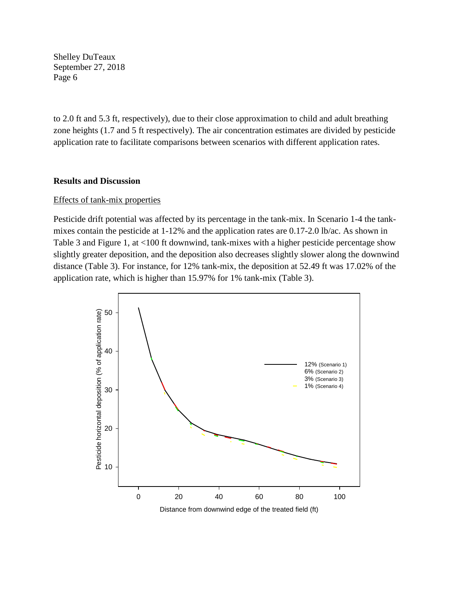to 2.0 ft and 5.3 ft, respectively), due to their close approximation to child and adult breathing zone heights (1.7 and 5 ft respectively). The air concentration estimates are divided by pesticide application rate to facilitate comparisons between scenarios with different application rates.

#### **Results and Discussion**

#### Effects of tank-mix properties

Pesticide drift potential was affected by its percentage in the tank-mix. In Scenario 1-4 the tankmixes contain the pesticide at 1-12% and the application rates are 0.17-2.0 lb/ac. As shown in Table 3 and Figure 1, at <100 ft downwind, tank-mixes with a higher pesticide percentage show slightly greater deposition, and the deposition also decreases slightly slower along the downwind distance (Table 3). For instance, for 12% tank-mix, the deposition at 52.49 ft was 17.02% of the application rate, which is higher than 15.97% for 1% tank-mix (Table 3).

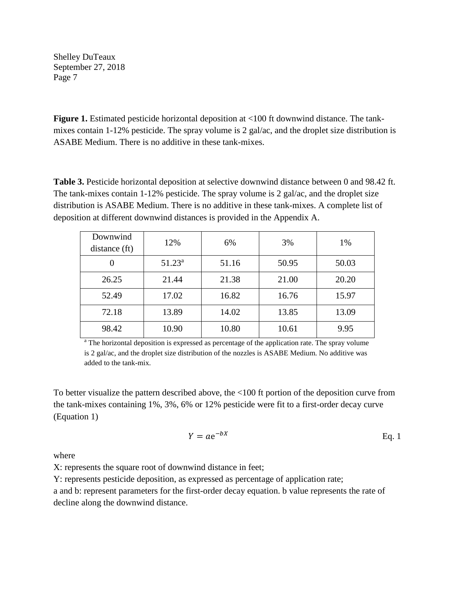**Figure 1.** Estimated pesticide horizontal deposition at <100 ft downwind distance. The tankmixes contain 1-12% pesticide. The spray volume is 2 gal/ac, and the droplet size distribution is ASABE Medium. There is no additive in these tank-mixes.

**Table 3.** Pesticide horizontal deposition at selective downwind distance between 0 and 98.42 ft. The tank-mixes contain 1-12% pesticide. The spray volume is 2 gal/ac, and the droplet size distribution is ASABE Medium. There is no additive in these tank-mixes. A complete list of deposition at different downwind distances is provided in the Appendix A.

| Downwind<br>distance (ft) | 12%       | 6%    | 3%    | 1%    |
|---------------------------|-----------|-------|-------|-------|
|                           | $51.23^a$ | 51.16 | 50.95 | 50.03 |
| 26.25                     | 21.44     | 21.38 | 21.00 | 20.20 |
| 52.49                     | 17.02     | 16.82 | 16.76 | 15.97 |
| 72.18                     | 13.89     | 14.02 | 13.85 | 13.09 |
| 98.42                     | 10.90     | 10.80 | 10.61 | 9.95  |

<sup>a</sup> The horizontal deposition is expressed as percentage of the application rate. The spray volume is 2 gal/ac, and the droplet size distribution of the nozzles is ASABE Medium. No additive was added to the tank-mix.

To better visualize the pattern described above, the <100 ft portion of the deposition curve from the tank-mixes containing 1%, 3%, 6% or 12% pesticide were fit to a first-order decay curve (Equation 1)

$$
Y = ae^{-bX} \qquad \qquad \text{Eq. 1}
$$

where

X: represents the square root of downwind distance in feet;

Y: represents pesticide deposition, as expressed as percentage of application rate;

a and b: represent parameters for the first-order decay equation. b value represents the rate of decline along the downwind distance.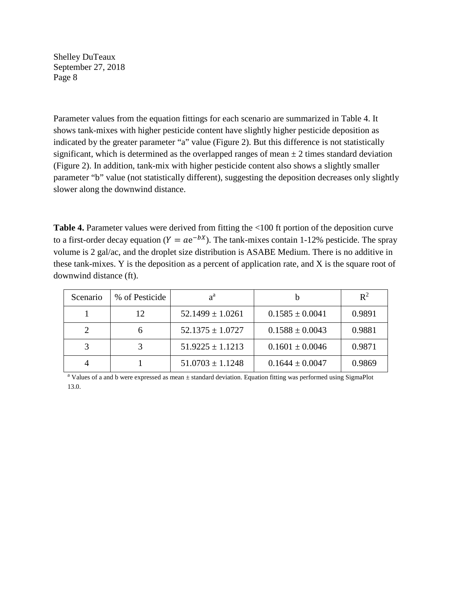Parameter values from the equation fittings for each scenario are summarized in Table 4. It shows tank-mixes with higher pesticide content have slightly higher pesticide deposition as indicated by the greater parameter "a" value (Figure 2). But this difference is not statistically significant, which is determined as the overlapped ranges of mean  $\pm$  2 times standard deviation (Figure 2). In addition, tank-mix with higher pesticide content also shows a slightly smaller parameter "b" value (not statistically different), suggesting the deposition decreases only slightly slower along the downwind distance.

**Table 4.** Parameter values were derived from fitting the <100 ft portion of the deposition curve to a first-order decay equation ( $Y = ae^{-bX}$ ). The tank-mixes contain 1-12% pesticide. The spray volume is 2 gal/ac, and the droplet size distribution is ASABE Medium. There is no additive in these tank-mixes. Y is the deposition as a percent of application rate, and X is the square root of downwind distance (ft).

| Scenario | % of Pesticide | $a^{\rm a}$          |                     | $\mathbf{R}^2$ |
|----------|----------------|----------------------|---------------------|----------------|
|          | 12             | $52.1499 \pm 1.0261$ | $0.1585 \pm 0.0041$ | 0.9891         |
|          |                | $52.1375 \pm 1.0727$ | $0.1588 \pm 0.0043$ | 0.9881         |
|          |                | $51.9225 \pm 1.1213$ | $0.1601 \pm 0.0046$ | 0.9871         |
|          |                | $51.0703 \pm 1.1248$ | $0.1644 \pm 0.0047$ | 0.9869         |

<sup>a</sup> Values of a and b were expressed as mean  $\pm$  standard deviation. Equation fitting was performed using SigmaPlot 13.0.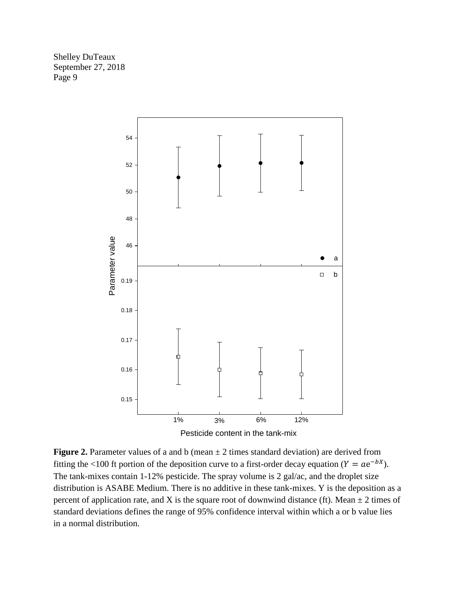

**Figure 2.** Parameter values of a and b (mean  $\pm$  2 times standard deviation) are derived from fitting the <100 ft portion of the deposition curve to a first-order decay equation ( $Y = ae^{-bx}$ ). The tank-mixes contain 1-12% pesticide. The spray volume is 2 gal/ac, and the droplet size distribution is ASABE Medium. There is no additive in these tank-mixes. Y is the deposition as a percent of application rate, and X is the square root of downwind distance (ft). Mean  $\pm$  2 times of standard deviations defines the range of 95% confidence interval within which a or b value lies in a normal distribution.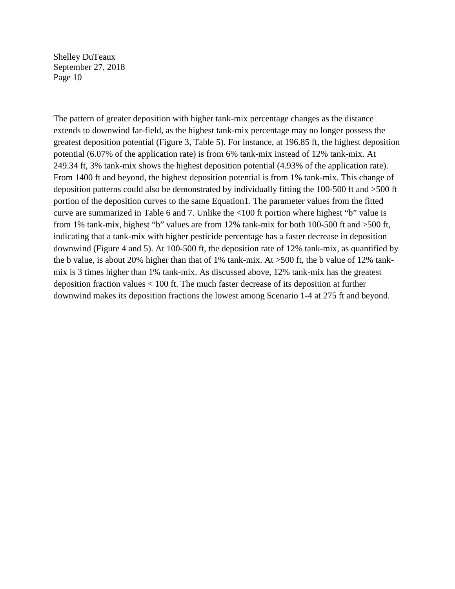The pattern of greater deposition with higher tank-mix percentage changes as the distance extends to downwind far-field, as the highest tank-mix percentage may no longer possess the greatest deposition potential (Figure 3, Table 5). For instance, at 196.85 ft, the highest deposition potential (6.07% of the application rate) is from 6% tank-mix instead of 12% tank-mix. At 249.34 ft, 3% tank-mix shows the highest deposition potential (4.93% of the application rate). From 1400 ft and beyond, the highest deposition potential is from 1% tank-mix. This change of deposition patterns could also be demonstrated by individually fitting the 100-500 ft and >500 ft portion of the deposition curves to the same Equation1. The parameter values from the fitted curve are summarized in Table 6 and 7. Unlike the <100 ft portion where highest "b" value is from 1% tank-mix, highest "b" values are from 12% tank-mix for both 100-500 ft and >500 ft, indicating that a tank-mix with higher pesticide percentage has a faster decrease in deposition downwind (Figure 4 and 5). At 100-500 ft, the deposition rate of 12% tank-mix, as quantified by the b value, is about 20% higher than that of 1% tank-mix. At >500 ft, the b value of 12% tankmix is 3 times higher than 1% tank-mix. As discussed above, 12% tank-mix has the greatest deposition fraction values < 100 ft. The much faster decrease of its deposition at further downwind makes its deposition fractions the lowest among Scenario 1-4 at 275 ft and beyond.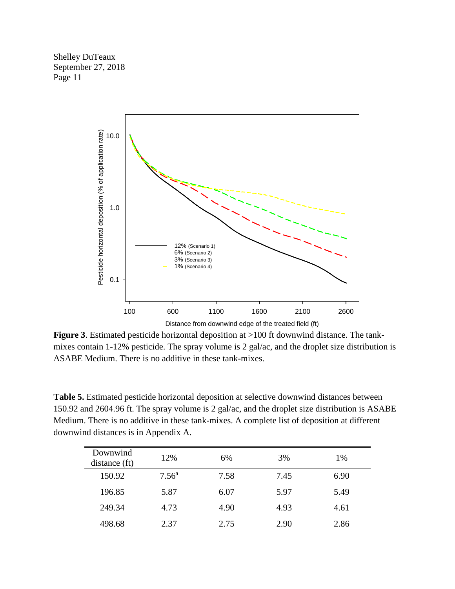

**Figure 3**. Estimated pesticide horizontal deposition at >100 ft downwind distance. The tankmixes contain 1-12% pesticide. The spray volume is 2 gal/ac, and the droplet size distribution is ASABE Medium. There is no additive in these tank-mixes.

**Table 5.** Estimated pesticide horizontal deposition at selective downwind distances between 150.92 and 2604.96 ft. The spray volume is 2 gal/ac, and the droplet size distribution is ASABE Medium. There is no additive in these tank-mixes. A complete list of deposition at different downwind distances is in Appendix A.

| Downwind<br>distance (ft) | 12%            | 6%   | 3%   | 1%   |
|---------------------------|----------------|------|------|------|
| 150.92                    | $7.56^{\rm a}$ | 7.58 | 7.45 | 6.90 |
| 196.85                    | 5.87           | 6.07 | 5.97 | 5.49 |
| 249.34                    | 4.73           | 4.90 | 4.93 | 4.61 |
| 498.68                    | 2.37           | 2.75 | 2.90 | 2.86 |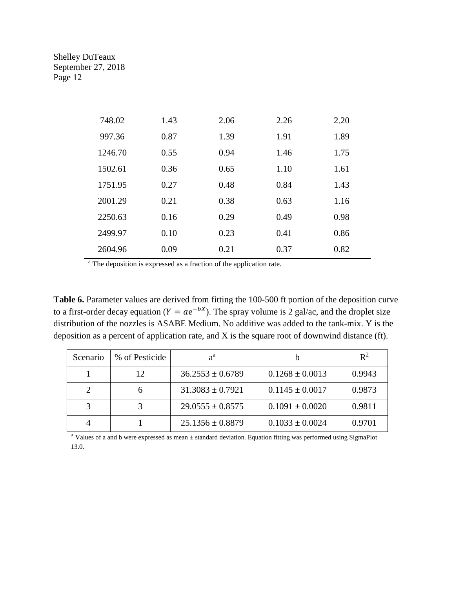| 748.02  | 1.43 | 2.06 | 2.26 | 2.20 |
|---------|------|------|------|------|
| 997.36  | 0.87 | 1.39 | 1.91 | 1.89 |
| 1246.70 | 0.55 | 0.94 | 1.46 | 1.75 |
| 1502.61 | 0.36 | 0.65 | 1.10 | 1.61 |
| 1751.95 | 0.27 | 0.48 | 0.84 | 1.43 |
| 2001.29 | 0.21 | 0.38 | 0.63 | 1.16 |
| 2250.63 | 0.16 | 0.29 | 0.49 | 0.98 |
| 2499.97 | 0.10 | 0.23 | 0.41 | 0.86 |
| 2604.96 | 0.09 | 0.21 | 0.37 | 0.82 |

<sup>a</sup> The deposition is expressed as a fraction of the application rate.

Table 6. Parameter values are derived from fitting the 100-500 ft portion of the deposition curve to a first-order decay equation ( $Y = ae^{-bx}$ ). The spray volume is 2 gal/ac, and the droplet size distribution of the nozzles is ASABE Medium. No additive was added to the tank-mix. Y is the deposition as a percent of application rate, and X is the square root of downwind distance (ft).

| Scenario | % of Pesticide | $a^{\rm a}$          |                     | $\mathbb{R}^2$ |
|----------|----------------|----------------------|---------------------|----------------|
|          | 12             | $36.2553 \pm 0.6789$ | $0.1268 \pm 0.0013$ | 0.9943         |
|          |                | $31.3083 \pm 0.7921$ | $0.1145 \pm 0.0017$ | 0.9873         |
|          |                | $29.0555 \pm 0.8575$ | $0.1091 \pm 0.0020$ | 0.9811         |
|          |                | $25.1356 \pm 0.8879$ | $0.1033 \pm 0.0024$ | 0.9701         |

<sup>a</sup> Values of a and b were expressed as mean  $\pm$  standard deviation. Equation fitting was performed using SigmaPlot 13.0.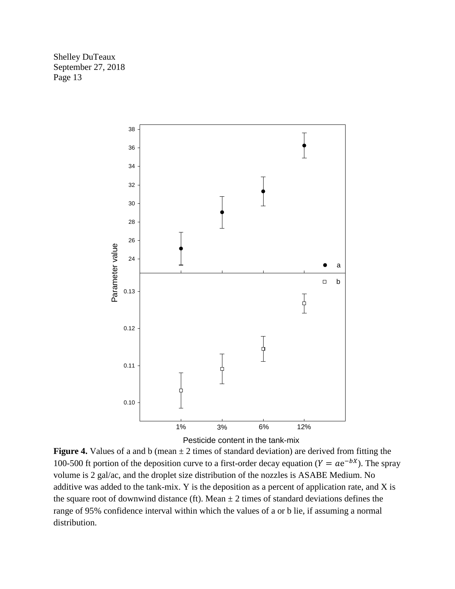



**Figure 4.** Values of a and b (mean  $\pm 2$  times of standard deviation) are derived from fitting the 100-500 ft portion of the deposition curve to a first-order decay equation ( $Y = ae^{-bx}$ ). The spray volume is 2 gal/ac, and the droplet size distribution of the nozzles is ASABE Medium. No additive was added to the tank-mix. Y is the deposition as a percent of application rate, and X is the square root of downwind distance (ft). Mean  $\pm$  2 times of standard deviations defines the range of 95% confidence interval within which the values of a or b lie, if assuming a normal distribution.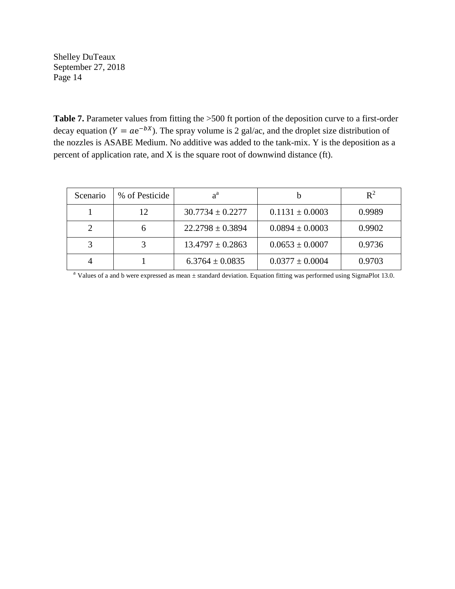**Table 7.** Parameter values from fitting the >500 ft portion of the deposition curve to a first-order decay equation ( $Y = ae^{-bx}$ ). The spray volume is 2 gal/ac, and the droplet size distribution of the nozzles is ASABE Medium. No additive was added to the tank-mix. Y is the deposition as a percent of application rate, and X is the square root of downwind distance (ft).

| Scenario | % of Pesticide | $a^{\rm a}$          |                     | $R^2$  |
|----------|----------------|----------------------|---------------------|--------|
|          | 12             | $30.7734 \pm 0.2277$ | $0.1131 \pm 0.0003$ | 0.9989 |
|          |                | $22.2798 \pm 0.3894$ | $0.0894 \pm 0.0003$ | 0.9902 |
|          |                | $13.4797 \pm 0.2863$ | $0.0653 \pm 0.0007$ | 0.9736 |
|          |                | $6.3764 \pm 0.0835$  | $0.0377 \pm 0.0004$ | 0.9703 |

<sup>a</sup> Values of a and b were expressed as mean  $\pm$  standard deviation. Equation fitting was performed using SigmaPlot 13.0.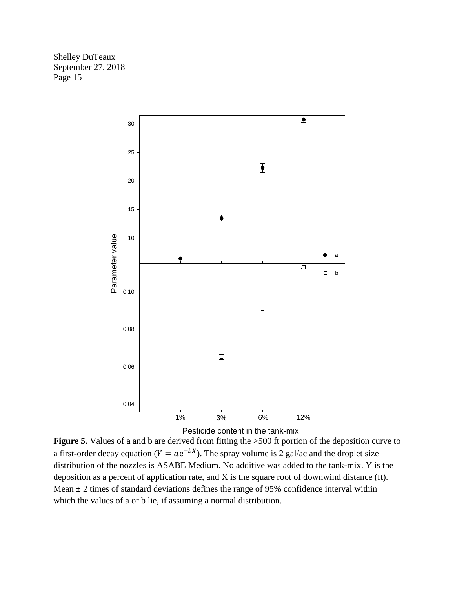

Pesticide content in the tank-mix

**Figure 5.** Values of a and b are derived from fitting the  $>500$  ft portion of the deposition curve to a first-order decay equation ( $Y = ae^{-bx}$ ). The spray volume is 2 gal/ac and the droplet size distribution of the nozzles is ASABE Medium. No additive was added to the tank-mix. Y is the deposition as a percent of application rate, and X is the square root of downwind distance (ft). Mean  $\pm$  2 times of standard deviations defines the range of 95% confidence interval within which the values of a or b lie, if assuming a normal distribution.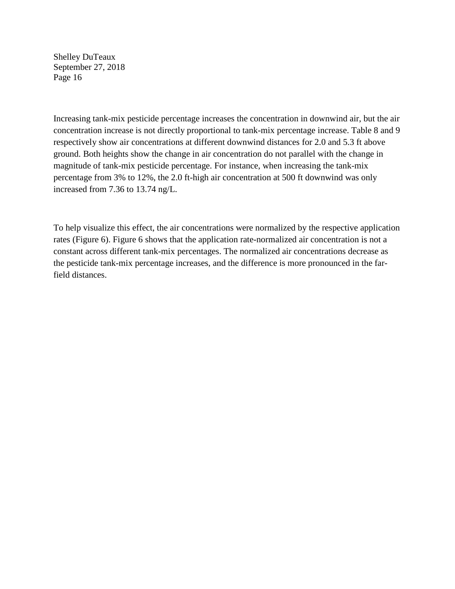Increasing tank-mix pesticide percentage increases the concentration in downwind air, but the air concentration increase is not directly proportional to tank-mix percentage increase. Table 8 and 9 respectively show air concentrations at different downwind distances for 2.0 and 5.3 ft above ground. Both heights show the change in air concentration do not parallel with the change in magnitude of tank-mix pesticide percentage. For instance, when increasing the tank-mix percentage from 3% to 12%, the 2.0 ft-high air concentration at 500 ft downwind was only increased from 7.36 to 13.74 ng/L.

To help visualize this effect, the air concentrations were normalized by the respective application rates (Figure 6). Figure 6 shows that the application rate-normalized air concentration is not a constant across different tank-mix percentages. The normalized air concentrations decrease as the pesticide tank-mix percentage increases, and the difference is more pronounced in the farfield distances.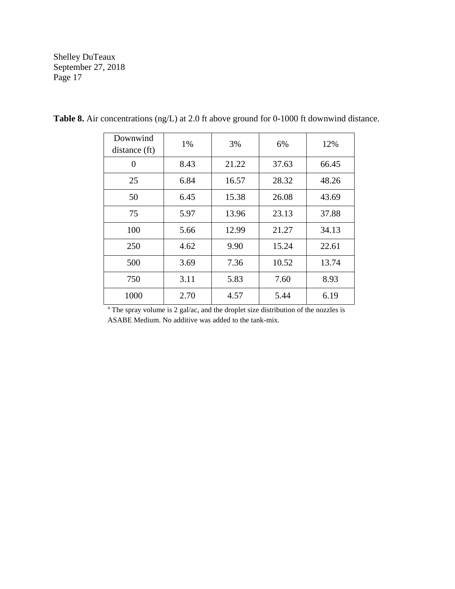| Downwind<br>distance (ft) | 1%   | 3%    | 6%    | 12%   |
|---------------------------|------|-------|-------|-------|
| 0                         | 8.43 | 21.22 | 37.63 | 66.45 |
| 25                        | 6.84 | 16.57 | 28.32 | 48.26 |
| 50                        | 6.45 | 15.38 | 26.08 | 43.69 |
| 75                        | 5.97 | 13.96 | 23.13 | 37.88 |
| 100                       | 5.66 | 12.99 | 21.27 | 34.13 |
| 250                       | 4.62 | 9.90  | 15.24 | 22.61 |
| 500                       | 3.69 | 7.36  | 10.52 | 13.74 |
| 750                       | 3.11 | 5.83  | 7.60  | 8.93  |
| 1000                      | 2.70 | 4.57  | 5.44  | 6.19  |

**Table 8.** Air concentrations (ng/L) at 2.0 ft above ground for 0-1000 ft downwind distance.

<sup>a</sup> The spray volume is 2 gal/ac, and the droplet size distribution of the nozzles is ASABE Medium. No additive was added to the tank-mix.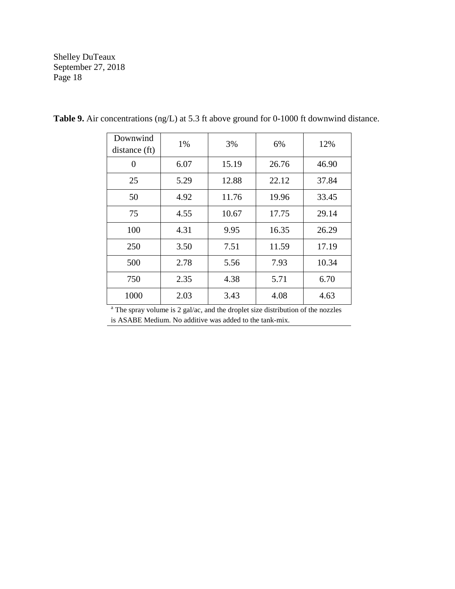| Downwind<br>distance (ft) | 1%   | 3%    | 6%    | 12%   |
|---------------------------|------|-------|-------|-------|
| 0                         | 6.07 | 15.19 | 26.76 | 46.90 |
| 25                        | 5.29 | 12.88 | 22.12 | 37.84 |
| 50                        | 4.92 | 11.76 | 19.96 | 33.45 |
| 75                        | 4.55 | 10.67 | 17.75 | 29.14 |
| 100                       | 4.31 | 9.95  | 16.35 | 26.29 |
| 250                       | 3.50 | 7.51  | 11.59 | 17.19 |
| 500                       | 2.78 | 5.56  | 7.93  | 10.34 |
| 750                       | 2.35 | 4.38  | 5.71  | 6.70  |
| 1000                      | 2.03 | 3.43  | 4.08  | 4.63  |

**Table 9.** Air concentrations (ng/L) at 5.3 ft above ground for 0-1000 ft downwind distance.

<sup>a</sup> The spray volume is 2 gal/ac, and the droplet size distribution of the nozzles is ASABE Medium. No additive was added to the tank-mix.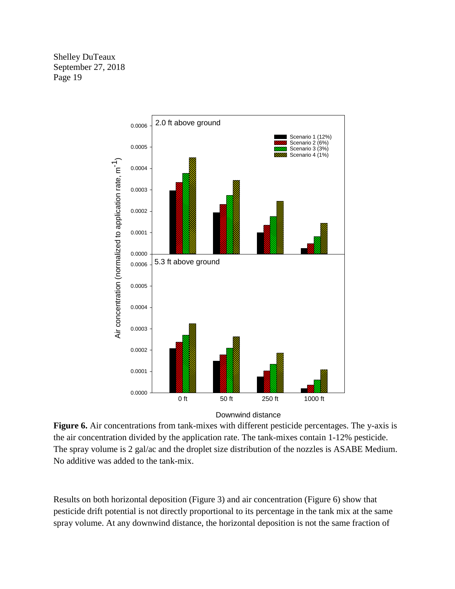

Downwind distance

**Figure 6.** Air concentrations from tank-mixes with different pesticide percentages. The y-axis is the air concentration divided by the application rate. The tank-mixes contain 1-12% pesticide. The spray volume is 2 gal/ac and the droplet size distribution of the nozzles is ASABE Medium. No additive was added to the tank-mix.

Results on both horizontal deposition (Figure 3) and air concentration (Figure 6) show that pesticide drift potential is not directly proportional to its percentage in the tank mix at the same spray volume. At any downwind distance, the horizontal deposition is not the same fraction of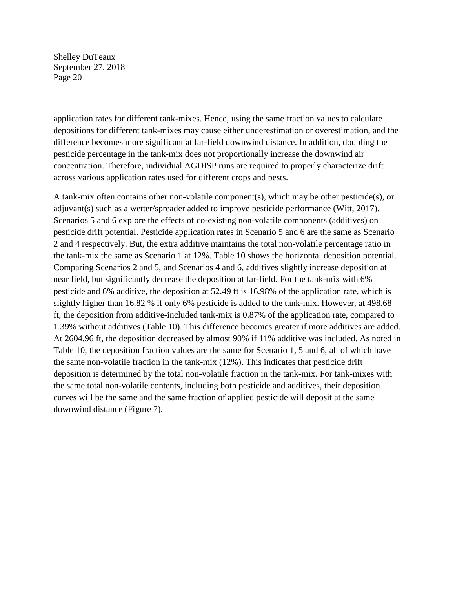application rates for different tank-mixes. Hence, using the same fraction values to calculate depositions for different tank-mixes may cause either underestimation or overestimation, and the difference becomes more significant at far-field downwind distance. In addition, doubling the pesticide percentage in the tank-mix does not proportionally increase the downwind air concentration. Therefore, individual AGDISP runs are required to properly characterize drift across various application rates used for different crops and pests.

A tank-mix often contains other non-volatile component(s), which may be other pesticide(s), or adjuvant(s) such as a wetter/spreader added to improve pesticide performance (Witt, 2017). Scenarios 5 and 6 explore the effects of co-existing non-volatile components (additives) on pesticide drift potential. Pesticide application rates in Scenario 5 and 6 are the same as Scenario 2 and 4 respectively. But, the extra additive maintains the total non-volatile percentage ratio in the tank-mix the same as Scenario 1 at 12%. Table 10 shows the horizontal deposition potential. Comparing Scenarios 2 and 5, and Scenarios 4 and 6, additives slightly increase deposition at near field, but significantly decrease the deposition at far-field. For the tank-mix with 6% pesticide and 6% additive, the deposition at 52.49 ft is 16.98% of the application rate, which is slightly higher than 16.82 % if only 6% pesticide is added to the tank-mix. However, at 498.68 ft, the deposition from additive-included tank-mix is 0.87% of the application rate, compared to 1.39% without additives (Table 10). This difference becomes greater if more additives are added. At 2604.96 ft, the deposition decreased by almost 90% if 11% additive was included. As noted in Table 10, the deposition fraction values are the same for Scenario 1, 5 and 6, all of which have the same non-volatile fraction in the tank-mix (12%). This indicates that pesticide drift deposition is determined by the total non-volatile fraction in the tank-mix. For tank-mixes with the same total non-volatile contents, including both pesticide and additives, their deposition curves will be the same and the same fraction of applied pesticide will deposit at the same downwind distance (Figure 7).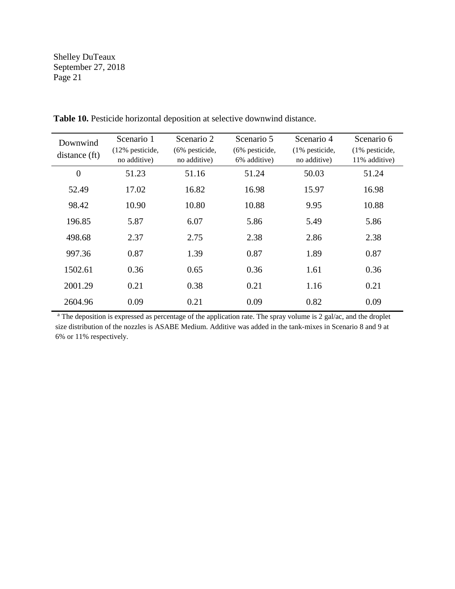| Downwind<br>distance (ft) | Scenario 1<br>(12% pesticide,<br>no additive) | Scenario 2<br>$(6\%$ pesticide,<br>no additive) | Scenario 5<br>(6% pesticide,<br>6% additive) | Scenario 4<br>(1% pesticide,<br>no additive) | Scenario 6<br>$(1\%$ pesticide,<br>11% additive) |
|---------------------------|-----------------------------------------------|-------------------------------------------------|----------------------------------------------|----------------------------------------------|--------------------------------------------------|
| $\overline{0}$            | 51.23                                         | 51.16                                           | 51.24                                        | 50.03                                        | 51.24                                            |
| 52.49                     | 17.02                                         | 16.82                                           | 16.98                                        | 15.97                                        | 16.98                                            |
| 98.42                     | 10.90                                         | 10.80                                           | 10.88                                        | 9.95                                         | 10.88                                            |
| 196.85                    | 5.87                                          | 6.07                                            | 5.86                                         | 5.49                                         | 5.86                                             |
| 498.68                    | 2.37                                          | 2.75                                            | 2.38                                         | 2.86                                         | 2.38                                             |
| 997.36                    | 0.87                                          | 1.39                                            | 0.87                                         | 1.89                                         | 0.87                                             |
| 1502.61                   | 0.36                                          | 0.65                                            | 0.36                                         | 1.61                                         | 0.36                                             |
| 2001.29                   | 0.21                                          | 0.38                                            | 0.21                                         | 1.16                                         | 0.21                                             |
| 2604.96                   | 0.09                                          | 0.21                                            | 0.09                                         | 0.82                                         | 0.09                                             |

**Table 10.** Pesticide horizontal deposition at selective downwind distance.

<sup>a</sup> The deposition is expressed as percentage of the application rate. The spray volume is 2 gal/ac, and the droplet size distribution of the nozzles is ASABE Medium. Additive was added in the tank-mixes in Scenario 8 and 9 at 6% or 11% respectively.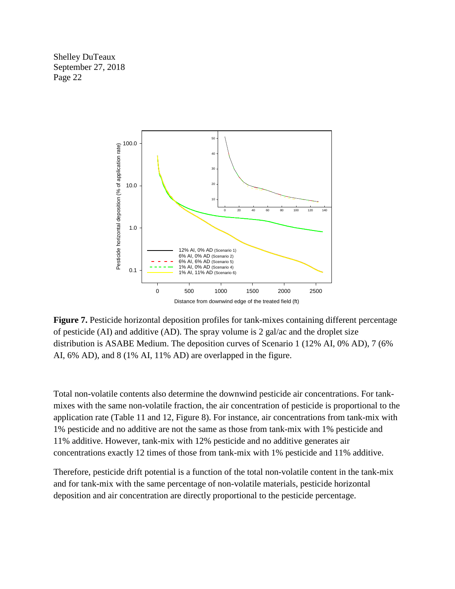

**Figure 7.** Pesticide horizontal deposition profiles for tank-mixes containing different percentage of pesticide (AI) and additive (AD). The spray volume is 2 gal/ac and the droplet size distribution is ASABE Medium. The deposition curves of Scenario 1 (12% AI, 0% AD), 7 (6% AI, 6% AD), and 8 (1% AI, 11% AD) are overlapped in the figure.

Total non-volatile contents also determine the downwind pesticide air concentrations. For tankmixes with the same non-volatile fraction, the air concentration of pesticide is proportional to the application rate (Table 11 and 12, Figure 8). For instance, air concentrations from tank-mix with 1% pesticide and no additive are not the same as those from tank-mix with 1% pesticide and 11% additive. However, tank-mix with 12% pesticide and no additive generates air concentrations exactly 12 times of those from tank-mix with 1% pesticide and 11% additive.

Therefore, pesticide drift potential is a function of the total non-volatile content in the tank-mix and for tank-mix with the same percentage of non-volatile materials, pesticide horizontal deposition and air concentration are directly proportional to the pesticide percentage.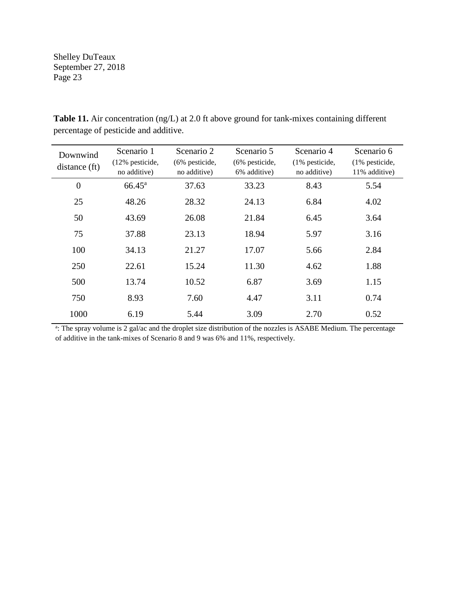| Downwind       | Scenario 1                 | Scenario 2        | Scenario 5        | Scenario 4        | Scenario 6        |
|----------------|----------------------------|-------------------|-------------------|-------------------|-------------------|
| distance (ft)  | $(12\% \text{ pesticide},$ | $(6\%$ pesticide, | $(6\%$ pesticide, | $(1\%$ pesticide, | $(1\%$ pesticide, |
|                | no additive)               | no additive)      | 6% additive)      | no additive)      | 11% additive)     |
| $\overline{0}$ | $66.45^{\rm a}$            | 37.63             | 33.23             | 8.43              | 5.54              |
| 25             | 48.26                      | 28.32             | 24.13             | 6.84              | 4.02              |
| 50             | 43.69                      | 26.08             | 21.84             | 6.45              | 3.64              |
| 75             | 37.88                      | 23.13             | 18.94             | 5.97              | 3.16              |
| 100            | 34.13                      | 21.27             | 17.07             | 5.66              | 2.84              |
| 250            | 22.61                      | 15.24             | 11.30             | 4.62              | 1.88              |
| 500            | 13.74                      | 10.52             | 6.87              | 3.69              | 1.15              |
| 750            | 8.93                       | 7.60              | 4.47              | 3.11              | 0.74              |
| 1000           | 6.19                       | 5.44              | 3.09              | 2.70              | 0.52              |

**Table 11.** Air concentration (ng/L) at 2.0 ft above ground for tank-mixes containing different percentage of pesticide and additive.

<sup>a</sup>: The spray volume is 2 gal/ac and the droplet size distribution of the nozzles is ASABE Medium. The percentage of additive in the tank-mixes of Scenario 8 and 9 was 6% and 11%, respectively.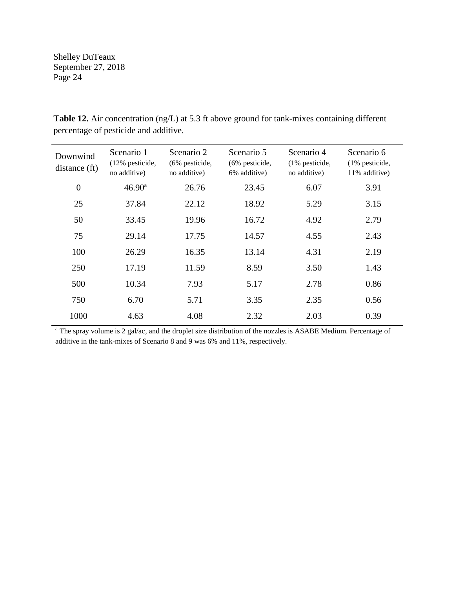| Downwind<br>distance (ft) | Scenario 1<br>$(12\% \text{ pesticide})$<br>no additive) | Scenario 2<br>(6% pesticide,<br>no additive) | Scenario 5<br>$(6\%$ pesticide,<br>6% additive) | Scenario 4<br>(1% pesticide,<br>no additive) | Scenario 6<br>$(1\%$ pesticide,<br>11% additive) |
|---------------------------|----------------------------------------------------------|----------------------------------------------|-------------------------------------------------|----------------------------------------------|--------------------------------------------------|
| $\overline{0}$            | $46.90^{\rm a}$                                          | 26.76                                        | 23.45                                           | 6.07                                         | 3.91                                             |
| 25                        | 37.84                                                    | 22.12                                        | 18.92                                           | 5.29                                         | 3.15                                             |
| 50                        | 33.45                                                    | 19.96                                        | 16.72                                           | 4.92                                         | 2.79                                             |
| 75                        | 29.14                                                    | 17.75                                        | 14.57                                           | 4.55                                         | 2.43                                             |
| 100                       | 26.29                                                    | 16.35                                        | 13.14                                           | 4.31                                         | 2.19                                             |
| 250                       | 17.19                                                    | 11.59                                        | 8.59                                            | 3.50                                         | 1.43                                             |
| 500                       | 10.34                                                    | 7.93                                         | 5.17                                            | 2.78                                         | 0.86                                             |
| 750                       | 6.70                                                     | 5.71                                         | 3.35                                            | 2.35                                         | 0.56                                             |
| 1000                      | 4.63                                                     | 4.08                                         | 2.32                                            | 2.03                                         | 0.39                                             |

**Table 12.** Air concentration (ng/L) at 5.3 ft above ground for tank-mixes containing different percentage of pesticide and additive.

<sup>a</sup> The spray volume is 2 gal/ac, and the droplet size distribution of the nozzles is ASABE Medium. Percentage of additive in the tank-mixes of Scenario 8 and 9 was 6% and 11%, respectively.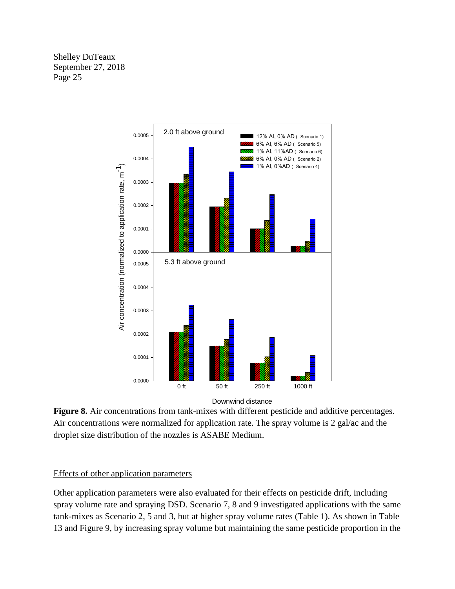

Downwind distance

**Figure 8.** Air concentrations from tank-mixes with different pesticide and additive percentages. Air concentrations were normalized for application rate. The spray volume is 2 gal/ac and the droplet size distribution of the nozzles is ASABE Medium.

### Effects of other application parameters

Other application parameters were also evaluated for their effects on pesticide drift, including spray volume rate and spraying DSD. Scenario 7, 8 and 9 investigated applications with the same tank-mixes as Scenario 2, 5 and 3, but at higher spray volume rates (Table 1). As shown in Table 13 and Figure 9, by increasing spray volume but maintaining the same pesticide proportion in the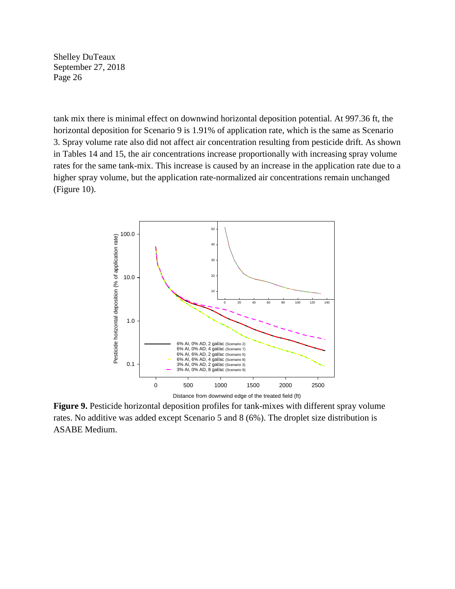tank mix there is minimal effect on downwind horizontal deposition potential. At 997.36 ft, the horizontal deposition for Scenario 9 is 1.91% of application rate, which is the same as Scenario 3. Spray volume rate also did not affect air concentration resulting from pesticide drift. As shown in Tables 14 and 15, the air concentrations increase proportionally with increasing spray volume rates for the same tank-mix. This increase is caused by an increase in the application rate due to a higher spray volume, but the application rate-normalized air concentrations remain unchanged (Figure 10).



**Figure 9.** Pesticide horizontal deposition profiles for tank-mixes with different spray volume rates. No additive was added except Scenario 5 and 8 (6%). The droplet size distribution is ASABE Medium.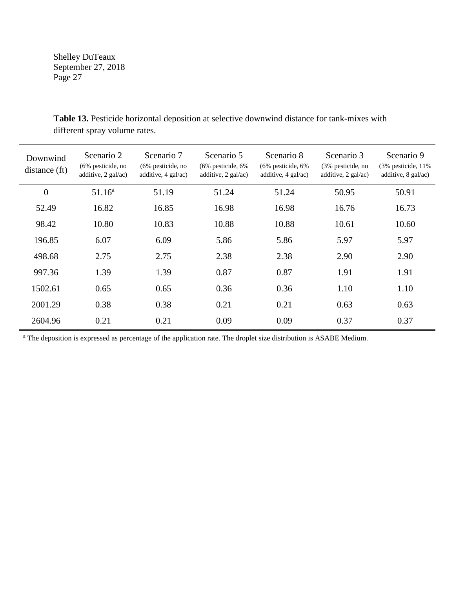| Downwind<br>distance (ft) | Scenario 2<br>(6% pesticide, no<br>additive, 2 gal/ac) | Scenario 7<br>$(6\%$ pesticide, no<br>additive, $4$ gal/ac) | Scenario 5<br>$(6\%$ pesticide, $6\%$<br>additive, $2$ gal/ac) | Scenario 8<br>$(6\%$ pesticide, $6\%$<br>additive, $4 \text{ gal/ac}$ ) | Scenario 3<br>(3% pesticide, no<br>additive, $2$ gal/ac) | Scenario 9<br>$(3\%$ pesticide, 11%<br>additive, $8$ gal/ac) |
|---------------------------|--------------------------------------------------------|-------------------------------------------------------------|----------------------------------------------------------------|-------------------------------------------------------------------------|----------------------------------------------------------|--------------------------------------------------------------|
| $\overline{0}$            | 51.16 <sup>a</sup>                                     | 51.19                                                       | 51.24                                                          | 51.24                                                                   | 50.95                                                    | 50.91                                                        |
| 52.49                     | 16.82                                                  | 16.85                                                       | 16.98                                                          | 16.98                                                                   | 16.76                                                    | 16.73                                                        |
| 98.42                     | 10.80                                                  | 10.83                                                       | 10.88                                                          | 10.88                                                                   | 10.61                                                    | 10.60                                                        |
| 196.85                    | 6.07                                                   | 6.09                                                        | 5.86                                                           | 5.86                                                                    | 5.97                                                     | 5.97                                                         |
| 498.68                    | 2.75                                                   | 2.75                                                        | 2.38                                                           | 2.38                                                                    | 2.90                                                     | 2.90                                                         |
| 997.36                    | 1.39                                                   | 1.39                                                        | 0.87                                                           | 0.87                                                                    | 1.91                                                     | 1.91                                                         |
| 1502.61                   | 0.65                                                   | 0.65                                                        | 0.36                                                           | 0.36                                                                    | 1.10                                                     | 1.10                                                         |
| 2001.29                   | 0.38                                                   | 0.38                                                        | 0.21                                                           | 0.21                                                                    | 0.63                                                     | 0.63                                                         |
| 2604.96                   | 0.21                                                   | 0.21                                                        | 0.09                                                           | 0.09                                                                    | 0.37                                                     | 0.37                                                         |

**Table 13.** Pesticide horizontal deposition at selective downwind distance for tank-mixes with different spray volume rates.

<sup>a</sup> The deposition is expressed as percentage of the application rate. The droplet size distribution is ASABE Medium.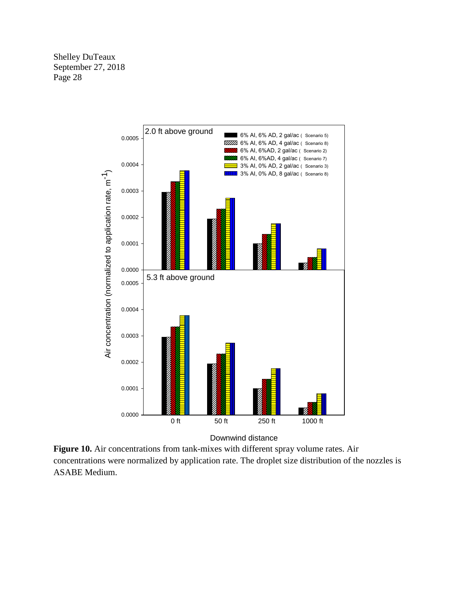

Downwind distance

**Figure 10.** Air concentrations from tank-mixes with different spray volume rates. Air concentrations were normalized by application rate. The droplet size distribution of the nozzles is ASABE Medium.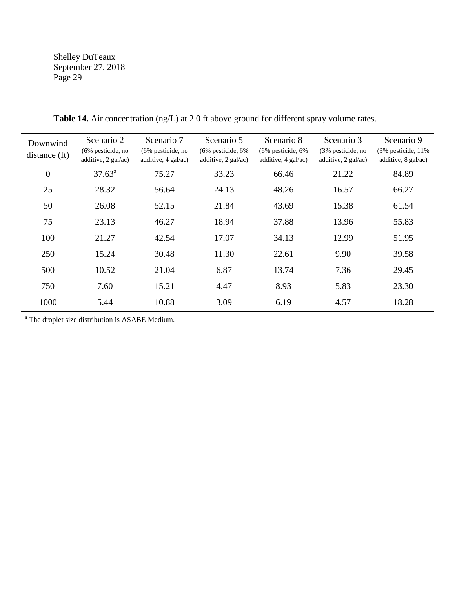| Downwind<br>distance (ft) | Scenario 2<br>(6% pesticide, no<br>additive, 2 gal/ac) | Scenario 7<br>$(6\%$ pesticide, no<br>additive, $4$ gal/ac) | Scenario 5<br>$(6\%$ pesticide, $6\%$<br>additive, $2$ gal/ac) | Scenario 8<br>$(6\%$ pesticide, $6\%$<br>additive, $4$ gal/ac) | Scenario 3<br>(3% pesticide, no<br>additive, $2$ gal/ac) | Scenario 9<br>$(3\%$ pesticide, 11%<br>additive, $8$ gal/ac) |
|---------------------------|--------------------------------------------------------|-------------------------------------------------------------|----------------------------------------------------------------|----------------------------------------------------------------|----------------------------------------------------------|--------------------------------------------------------------|
| $\boldsymbol{0}$          | $37.63^a$                                              | 75.27                                                       | 33.23                                                          | 66.46                                                          | 21.22                                                    | 84.89                                                        |
| 25                        | 28.32                                                  | 56.64                                                       | 24.13                                                          | 48.26                                                          | 16.57                                                    | 66.27                                                        |
| 50                        | 26.08                                                  | 52.15                                                       | 21.84                                                          | 43.69                                                          | 15.38                                                    | 61.54                                                        |
| 75                        | 23.13                                                  | 46.27                                                       | 18.94                                                          | 37.88                                                          | 13.96                                                    | 55.83                                                        |
| 100                       | 21.27                                                  | 42.54                                                       | 17.07                                                          | 34.13                                                          | 12.99                                                    | 51.95                                                        |
| 250                       | 15.24                                                  | 30.48                                                       | 11.30                                                          | 22.61                                                          | 9.90                                                     | 39.58                                                        |
| 500                       | 10.52                                                  | 21.04                                                       | 6.87                                                           | 13.74                                                          | 7.36                                                     | 29.45                                                        |
| 750                       | 7.60                                                   | 15.21                                                       | 4.47                                                           | 8.93                                                           | 5.83                                                     | 23.30                                                        |
| 1000                      | 5.44                                                   | 10.88                                                       | 3.09                                                           | 6.19                                                           | 4.57                                                     | 18.28                                                        |

**Table 14.** Air concentration (ng/L) at 2.0 ft above ground for different spray volume rates.

<sup>a</sup> The droplet size distribution is ASABE Medium.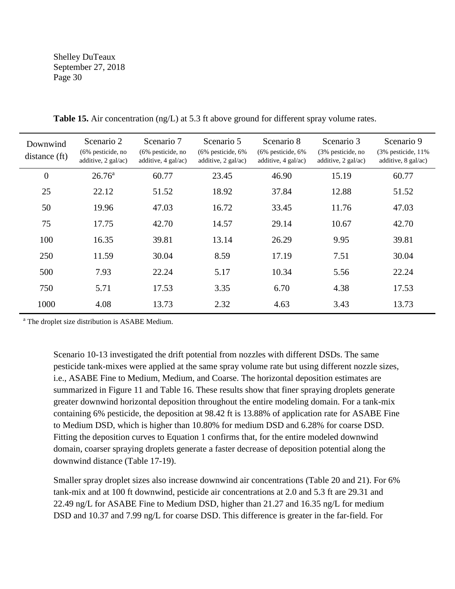| Downwind<br>distance (ft) | Scenario 2<br>(6% pesticide, no<br>additive, 2 gal/ac) | Scenario 7<br>$(6\%$ pesticide, no<br>additive, $4$ gal/ac) | Scenario 5<br>$(6\%$ pesticide, $6\%$<br>additive, 2 gal/ac) | Scenario 8<br>$(6\%$ pesticide, $6\%$<br>additive, $4$ gal/ac) | Scenario 3<br>(3% pesticide, no<br>additive, $2$ gal/ac) | Scenario 9<br>$(3\%$ pesticide, 11%<br>additive, $8$ gal/ac) |
|---------------------------|--------------------------------------------------------|-------------------------------------------------------------|--------------------------------------------------------------|----------------------------------------------------------------|----------------------------------------------------------|--------------------------------------------------------------|
| $\overline{0}$            | $26.76^{\circ}$                                        | 60.77                                                       | 23.45                                                        | 46.90                                                          | 15.19                                                    | 60.77                                                        |
| 25                        | 22.12                                                  | 51.52                                                       | 18.92                                                        | 37.84                                                          | 12.88                                                    | 51.52                                                        |
| 50                        | 19.96                                                  | 47.03                                                       | 16.72                                                        | 33.45                                                          | 11.76                                                    | 47.03                                                        |
| 75                        | 17.75                                                  | 42.70                                                       | 14.57                                                        | 29.14                                                          | 10.67                                                    | 42.70                                                        |
| 100                       | 16.35                                                  | 39.81                                                       | 13.14                                                        | 26.29                                                          | 9.95                                                     | 39.81                                                        |
| 250                       | 11.59                                                  | 30.04                                                       | 8.59                                                         | 17.19                                                          | 7.51                                                     | 30.04                                                        |
| 500                       | 7.93                                                   | 22.24                                                       | 5.17                                                         | 10.34                                                          | 5.56                                                     | 22.24                                                        |
| 750                       | 5.71                                                   | 17.53                                                       | 3.35                                                         | 6.70                                                           | 4.38                                                     | 17.53                                                        |
| 1000                      | 4.08                                                   | 13.73                                                       | 2.32                                                         | 4.63                                                           | 3.43                                                     | 13.73                                                        |

**Table 15.** Air concentration (ng/L) at 5.3 ft above ground for different spray volume rates.

<sup>a</sup> The droplet size distribution is ASABE Medium.

Scenario 10-13 investigated the drift potential from nozzles with different DSDs. The same pesticide tank-mixes were applied at the same spray volume rate but using different nozzle sizes, i.e., ASABE Fine to Medium, Medium, and Coarse. The horizontal deposition estimates are summarized in Figure 11 and Table 16. These results show that finer spraying droplets generate greater downwind horizontal deposition throughout the entire modeling domain. For a tank-mix containing 6% pesticide, the deposition at 98.42 ft is 13.88% of application rate for ASABE Fine to Medium DSD, which is higher than 10.80% for medium DSD and 6.28% for coarse DSD. Fitting the deposition curves to Equation 1 confirms that, for the entire modeled downwind domain, coarser spraying droplets generate a faster decrease of deposition potential along the downwind distance (Table 17-19).

Smaller spray droplet sizes also increase downwind air concentrations (Table 20 and 21). For 6% tank-mix and at 100 ft downwind, pesticide air concentrations at 2.0 and 5.3 ft are 29.31 and 22.49 ng/L for ASABE Fine to Medium DSD, higher than 21.27 and 16.35 ng/L for medium DSD and 10.37 and 7.99 ng/L for coarse DSD. This difference is greater in the far-field. For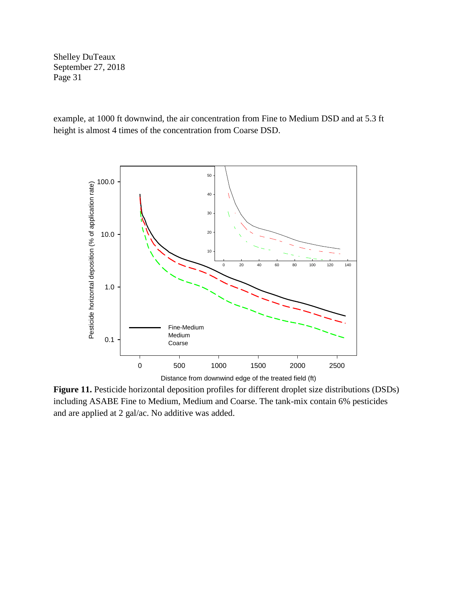example, at 1000 ft downwind, the air concentration from Fine to Medium DSD and at 5.3 ft height is almost 4 times of the concentration from Coarse DSD.



Distance from downwind edge of the treated field (ft)

**Figure 11.** Pesticide horizontal deposition profiles for different droplet size distributions (DSDs) including ASABE Fine to Medium, Medium and Coarse. The tank-mix contain 6% pesticides and are applied at 2 gal/ac. No additive was added.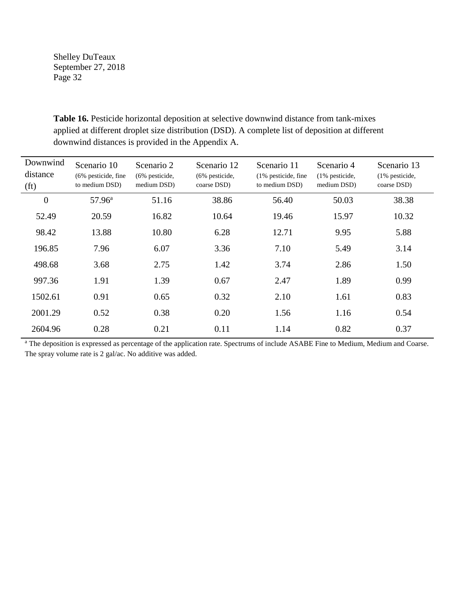| Downwind<br>distance<br>(f <sub>t</sub> ) | Scenario 10<br>(6% pesticide, fine<br>to medium DSD) | Scenario 2<br>(6% pesticide,<br>medium DSD) | Scenario 12<br>(6% pesticide,<br>coarse DSD) | Scenario 11<br>(1% pesticide, fine<br>to medium DSD) | Scenario 4<br>$(1\%$ pesticide,<br>medium DSD) | Scenario 13<br>$(1\%$ pesticide,<br>coarse DSD) |
|-------------------------------------------|------------------------------------------------------|---------------------------------------------|----------------------------------------------|------------------------------------------------------|------------------------------------------------|-------------------------------------------------|
| $\boldsymbol{0}$                          | $57.96^{\rm a}$                                      | 51.16                                       | 38.86                                        | 56.40                                                | 50.03                                          | 38.38                                           |
| 52.49                                     | 20.59                                                | 16.82                                       | 10.64                                        | 19.46                                                | 15.97                                          | 10.32                                           |
| 98.42                                     | 13.88                                                | 10.80                                       | 6.28                                         | 12.71                                                | 9.95                                           | 5.88                                            |
| 196.85                                    | 7.96                                                 | 6.07                                        | 3.36                                         | 7.10                                                 | 5.49                                           | 3.14                                            |
| 498.68                                    | 3.68                                                 | 2.75                                        | 1.42                                         | 3.74                                                 | 2.86                                           | 1.50                                            |
| 997.36                                    | 1.91                                                 | 1.39                                        | 0.67                                         | 2.47                                                 | 1.89                                           | 0.99                                            |
| 1502.61                                   | 0.91                                                 | 0.65                                        | 0.32                                         | 2.10                                                 | 1.61                                           | 0.83                                            |
| 2001.29                                   | 0.52                                                 | 0.38                                        | 0.20                                         | 1.56                                                 | 1.16                                           | 0.54                                            |
| 2604.96                                   | 0.28                                                 | 0.21                                        | 0.11                                         | 1.14                                                 | 0.82                                           | 0.37                                            |

**Table 16.** Pesticide horizontal deposition at selective downwind distance from tank-mixes applied at different droplet size distribution (DSD). A complete list of deposition at different downwind distances is provided in the Appendix A.

<sup>a</sup> The deposition is expressed as percentage of the application rate. Spectrums of include ASABE Fine to Medium, Medium and Coarse. The spray volume rate is 2 gal/ac. No additive was added.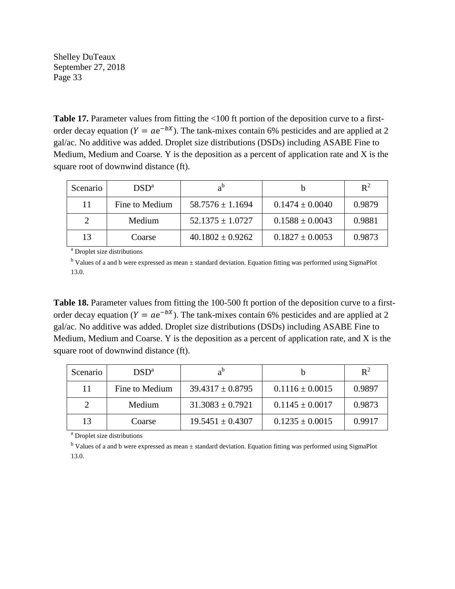Table 17. Parameter values from fitting the <100 ft portion of the deposition curve to a firstorder decay equation ( $Y = ae^{-bx}$ ). The tank-mixes contain 6% pesticides and are applied at 2 gal/ac. No additive was added. Droplet size distributions (DSDs) including ASABE Fine to Medium, Medium and Coarse. Y is the deposition as a percent of application rate and X is the square root of downwind distance (ft).

| Scenario | $DSD^a$        | $a^{\text{b}}$       |                     | $\mathbb{R}^2$ |
|----------|----------------|----------------------|---------------------|----------------|
| 11       | Fine to Medium | $58.7576 \pm 1.1694$ | $0.1474 \pm 0.0040$ | 0.9879         |
|          | Medium         | $52.1375 \pm 1.0727$ | $0.1588 \pm 0.0043$ | 0.9881         |
| 13       | Coarse         | $40.1802 \pm 0.9262$ | $0.1827 \pm 0.0053$ | 0.9873         |

<sup>a</sup> Droplet size distributions

<sup>b</sup> Values of a and b were expressed as mean ± standard deviation. Equation fitting was performed using SigmaPlot 13.0.

**Table 18.** Parameter values from fitting the 100-500 ft portion of the deposition curve to a firstorder decay equation ( $Y = ae^{-bx}$ ). The tank-mixes contain 6% pesticides and are applied at 2 gal/ac. No additive was added. Droplet size distributions (DSDs) including ASABE Fine to Medium, Medium and Coarse. Y is the deposition as a percent of application rate, and X is the square root of downwind distance (ft).

| Scenario | $DSD^a$        | $a^{\rm b}$          |                     | $\mathbb{R}^2$ |
|----------|----------------|----------------------|---------------------|----------------|
| 11       | Fine to Medium | $39.4317 \pm 0.8795$ | $0.1116 \pm 0.0015$ | 0.9897         |
|          | Medium         | $31.3083 \pm 0.7921$ | $0.1145 \pm 0.0017$ | 0.9873         |
| 13       | Coarse         | $19.5451 \pm 0.4307$ | $0.1235 \pm 0.0015$ | 0.9917         |

<sup>a</sup> Droplet size distributions

<sup>b</sup> Values of a and b were expressed as mean ± standard deviation. Equation fitting was performed using SigmaPlot 13.0.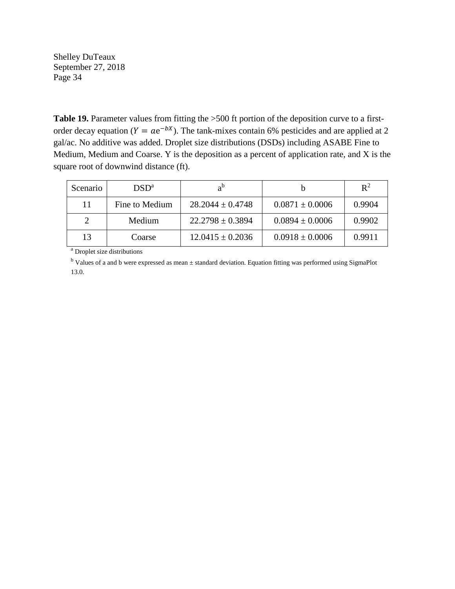Table 19. Parameter values from fitting the >500 ft portion of the deposition curve to a firstorder decay equation ( $Y = ae^{-bx}$ ). The tank-mixes contain 6% pesticides and are applied at 2 gal/ac. No additive was added. Droplet size distributions (DSDs) including ASABE Fine to Medium, Medium and Coarse. Y is the deposition as a percent of application rate, and X is the square root of downwind distance (ft).

| Scenario | $\text{DSD}^{\text{a}}$ | $a^b$                |                     | $\mathbb{R}^2$ |
|----------|-------------------------|----------------------|---------------------|----------------|
| 11       | Fine to Medium          | $28.2044 \pm 0.4748$ | $0.0871 \pm 0.0006$ | 0.9904         |
| ↑        | Medium                  | $22.2798 \pm 0.3894$ | $0.0894 \pm 0.0006$ | 0.9902         |
| 13       | Coarse                  | $12.0415 \pm 0.2036$ | $0.0918 \pm 0.0006$ | 0.9911         |

<sup>a</sup> Droplet size distributions

<sup>b</sup> Values of a and b were expressed as mean ± standard deviation. Equation fitting was performed using SigmaPlot 13.0.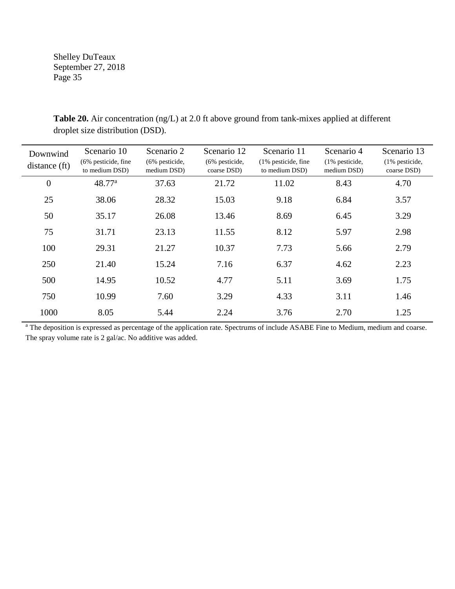| Downwind<br>distance (ft) | Scenario 10<br>$(6\%$ pesticide, fine<br>to medium DSD) | Scenario 2<br>$(6\%$ pesticide,<br>medium DSD) | Scenario 12<br>$(6\%$ pesticide,<br>coarse DSD) | Scenario 11<br>$(1\%$ pesticide, fine<br>to medium DSD) | Scenario 4<br>(1% pesticide,<br>medium DSD) | Scenario 13<br>$(1\%$ pesticide,<br>coarse DSD) |
|---------------------------|---------------------------------------------------------|------------------------------------------------|-------------------------------------------------|---------------------------------------------------------|---------------------------------------------|-------------------------------------------------|
| $\overline{0}$            | 48.77 <sup>a</sup>                                      | 37.63                                          | 21.72                                           | 11.02                                                   | 8.43                                        | 4.70                                            |
| 25                        | 38.06                                                   | 28.32                                          | 15.03                                           | 9.18                                                    | 6.84                                        | 3.57                                            |
| 50                        | 35.17                                                   | 26.08                                          | 13.46                                           | 8.69                                                    | 6.45                                        | 3.29                                            |
| 75                        | 31.71                                                   | 23.13                                          | 11.55                                           | 8.12                                                    | 5.97                                        | 2.98                                            |
| 100                       | 29.31                                                   | 21.27                                          | 10.37                                           | 7.73                                                    | 5.66                                        | 2.79                                            |
| 250                       | 21.40                                                   | 15.24                                          | 7.16                                            | 6.37                                                    | 4.62                                        | 2.23                                            |
| 500                       | 14.95                                                   | 10.52                                          | 4.77                                            | 5.11                                                    | 3.69                                        | 1.75                                            |
| 750                       | 10.99                                                   | 7.60                                           | 3.29                                            | 4.33                                                    | 3.11                                        | 1.46                                            |
| 1000                      | 8.05                                                    | 5.44                                           | 2.24                                            | 3.76                                                    | 2.70                                        | 1.25                                            |

**Table 20.** Air concentration (ng/L) at 2.0 ft above ground from tank-mixes applied at different droplet size distribution (DSD).

<sup>a</sup> The deposition is expressed as percentage of the application rate. Spectrums of include ASABE Fine to Medium, medium and coarse. The spray volume rate is 2 gal/ac. No additive was added.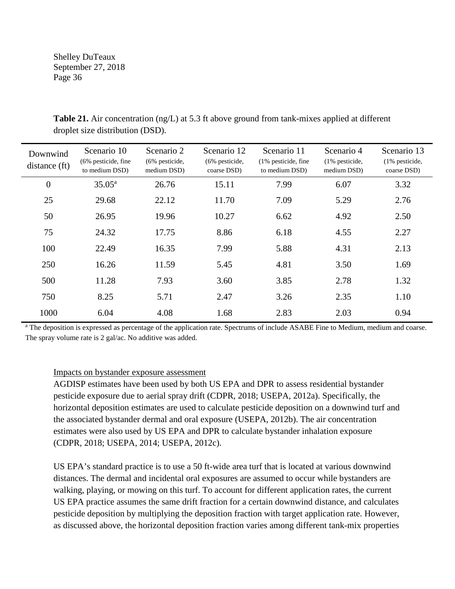| Downwind<br>distance (ft) | Scenario 10<br>$(6\%$ pesticide, fine<br>to medium DSD) | Scenario 2<br>(6% pesticide,<br>medium DSD) | Scenario 12<br>(6% pesticide,<br>coarse DSD) | Scenario 11<br>$(1\%$ pesticide, fine<br>to medium DSD) | Scenario 4<br>(1% pesticide,<br>medium DSD) | Scenario 13<br>(1% pesticide,<br>coarse DSD) |
|---------------------------|---------------------------------------------------------|---------------------------------------------|----------------------------------------------|---------------------------------------------------------|---------------------------------------------|----------------------------------------------|
| $\boldsymbol{0}$          | $35.05^{\rm a}$                                         | 26.76                                       | 15.11                                        | 7.99                                                    | 6.07                                        | 3.32                                         |
| 25                        | 29.68                                                   | 22.12                                       | 11.70                                        | 7.09                                                    | 5.29                                        | 2.76                                         |
| 50                        | 26.95                                                   | 19.96                                       | 10.27                                        | 6.62                                                    | 4.92                                        | 2.50                                         |
| 75                        | 24.32                                                   | 17.75                                       | 8.86                                         | 6.18                                                    | 4.55                                        | 2.27                                         |
| 100                       | 22.49                                                   | 16.35                                       | 7.99                                         | 5.88                                                    | 4.31                                        | 2.13                                         |
| 250                       | 16.26                                                   | 11.59                                       | 5.45                                         | 4.81                                                    | 3.50                                        | 1.69                                         |
| 500                       | 11.28                                                   | 7.93                                        | 3.60                                         | 3.85                                                    | 2.78                                        | 1.32                                         |
| 750                       | 8.25                                                    | 5.71                                        | 2.47                                         | 3.26                                                    | 2.35                                        | 1.10                                         |
| 1000                      | 6.04                                                    | 4.08                                        | 1.68                                         | 2.83                                                    | 2.03                                        | 0.94                                         |

**Table 21.** Air concentration (ng/L) at 5.3 ft above ground from tank-mixes applied at different droplet size distribution (DSD).

<sup>a</sup> The deposition is expressed as percentage of the application rate. Spectrums of include ASABE Fine to Medium, medium and coarse. The spray volume rate is 2 gal/ac. No additive was added.

## Impacts on bystander exposure assessment

AGDISP estimates have been used by both US EPA and DPR to assess residential bystander pesticide exposure due to aerial spray drift (CDPR, 2018; USEPA, 2012a). Specifically, the horizontal deposition estimates are used to calculate pesticide deposition on a downwind turf and the associated bystander dermal and oral exposure (USEPA, 2012b). The air concentration estimates were also used by US EPA and DPR to calculate bystander inhalation exposure (CDPR, 2018; USEPA, 2014; USEPA, 2012c).

US EPA's standard practice is to use a 50 ft-wide area turf that is located at various downwind distances. The dermal and incidental oral exposures are assumed to occur while bystanders are walking, playing, or mowing on this turf. To account for different application rates, the current US EPA practice assumes the same drift fraction for a certain downwind distance, and calculates pesticide deposition by multiplying the deposition fraction with target application rate. However, as discussed above, the horizontal deposition fraction varies among different tank-mix properties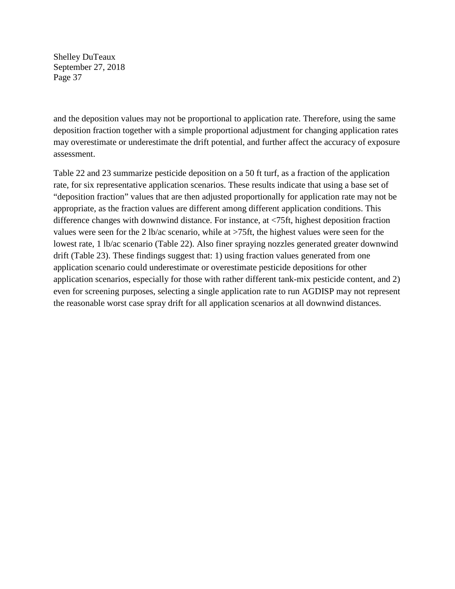and the deposition values may not be proportional to application rate. Therefore, using the same deposition fraction together with a simple proportional adjustment for changing application rates may overestimate or underestimate the drift potential, and further affect the accuracy of exposure assessment.

Table 22 and 23 summarize pesticide deposition on a 50 ft turf, as a fraction of the application rate, for six representative application scenarios. These results indicate that using a base set of "deposition fraction" values that are then adjusted proportionally for application rate may not be appropriate, as the fraction values are different among different application conditions. This difference changes with downwind distance. For instance, at <75ft, highest deposition fraction values were seen for the 2 lb/ac scenario, while at >75ft, the highest values were seen for the lowest rate, 1 lb/ac scenario (Table 22). Also finer spraying nozzles generated greater downwind drift (Table 23). These findings suggest that: 1) using fraction values generated from one application scenario could underestimate or overestimate pesticide depositions for other application scenarios, especially for those with rather different tank-mix pesticide content, and 2) even for screening purposes, selecting a single application rate to run AGDISP may not represent the reasonable worst case spray drift for all application scenarios at all downwind distances.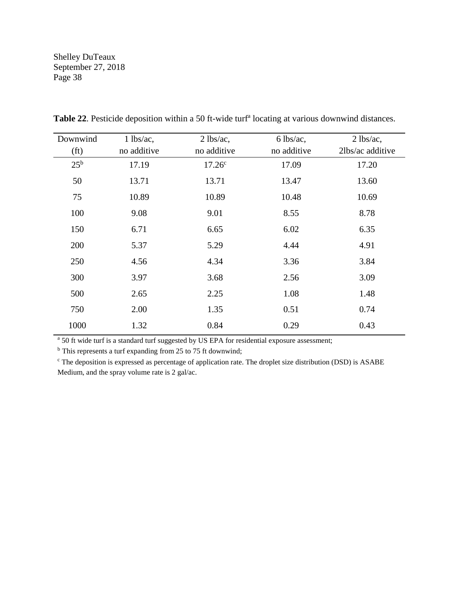| Downwind          | $1$ lbs/ac, | $2$ lbs/ac, | $6$ lbs/ac, | $2$ lbs/ac,      |
|-------------------|-------------|-------------|-------------|------------------|
| (f <sub>t</sub> ) | no additive | no additive | no additive | 2lbs/ac additive |
| $25^{\rm b}$      | 17.19       | $17.26^c$   | 17.09       | 17.20            |
| 50                | 13.71       | 13.71       | 13.47       | 13.60            |
| 75                | 10.89       | 10.89       | 10.48       | 10.69            |
| 100               | 9.08        | 9.01        | 8.55        | 8.78             |
| 150               | 6.71        | 6.65        | 6.02        | 6.35             |
| 200               | 5.37        | 5.29        | 4.44        | 4.91             |
| 250               | 4.56        | 4.34        | 3.36        | 3.84             |
| 300               | 3.97        | 3.68        | 2.56        | 3.09             |
| 500               | 2.65        | 2.25        | 1.08        | 1.48             |
| 750               | 2.00        | 1.35        | 0.51        | 0.74             |
| 1000              | 1.32        | 0.84        | 0.29        | 0.43             |

Table 22. Pesticide deposition within a 50 ft-wide turf<sup>a</sup> locating at various downwind distances.

<sup>a</sup> 50 ft wide turf is a standard turf suggested by US EPA for residential exposure assessment;

<sup>b</sup> This represents a turf expanding from 25 to 75 ft downwind;

<sup>c</sup> The deposition is expressed as percentage of application rate. The droplet size distribution (DSD) is ASABE Medium, and the spray volume rate is 2 gal/ac.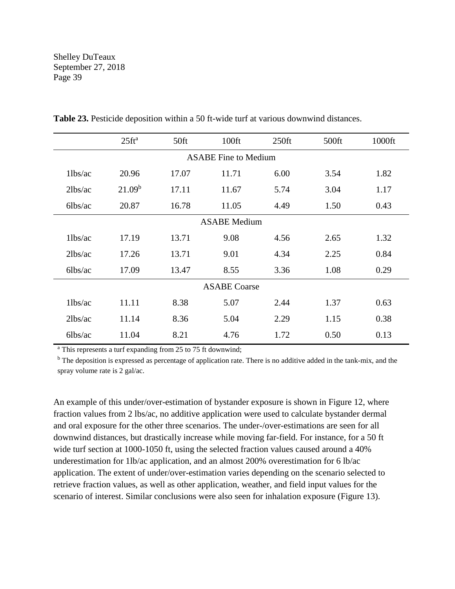|                | $25$ ft <sup>a</sup> | 50 <sup>ft</sup> | 100ft                       | $250$ ft | 500ft | 1000ft |
|----------------|----------------------|------------------|-----------------------------|----------|-------|--------|
|                |                      |                  | <b>ASABE Fine to Medium</b> |          |       |        |
| $1$ lbs/ac     | 20.96                | 17.07            | 11.71                       | 6.00     | 3.54  | 1.82   |
| 2lbs/ac        | 21.09 <sup>b</sup>   | 17.11            | 11.67                       | 5.74     | 3.04  | 1.17   |
| $6$ lbs/ac     | 20.87                | 16.78            | 11.05                       | 4.49     | 1.50  | 0.43   |
|                |                      |                  | <b>ASABE</b> Medium         |          |       |        |
| $1$ lbs/ac     | 17.19                | 13.71            | 9.08                        | 4.56     | 2.65  | 1.32   |
| 2lbs/ac        | 17.26                | 13.71            | 9.01                        | 4.34     | 2.25  | 0.84   |
| $6\frac{1}{2}$ | 17.09                | 13.47            | 8.55                        | 3.36     | 1.08  | 0.29   |
|                |                      |                  | <b>ASABE</b> Coarse         |          |       |        |
| $1$ lbs/ac     | 11.11                | 8.38             | 5.07                        | 2.44     | 1.37  | 0.63   |
| 2lbs/ac        | 11.14                | 8.36             | 5.04                        | 2.29     | 1.15  | 0.38   |
| $6$ lbs/ac     | 11.04                | 8.21             | 4.76                        | 1.72     | 0.50  | 0.13   |

**Table 23.** Pesticide deposition within a 50 ft-wide turf at various downwind distances.

<sup>a</sup> This represents a turf expanding from 25 to 75 ft downwind;

<sup>b</sup> The deposition is expressed as percentage of application rate. There is no additive added in the tank-mix, and the spray volume rate is 2 gal/ac.

An example of this under/over-estimation of bystander exposure is shown in Figure 12, where fraction values from 2 lbs/ac, no additive application were used to calculate bystander dermal and oral exposure for the other three scenarios. The under-/over-estimations are seen for all downwind distances, but drastically increase while moving far-field. For instance, for a 50 ft wide turf section at 1000-1050 ft, using the selected fraction values caused around a 40% underestimation for 1lb/ac application, and an almost 200% overestimation for 6 lb/ac application. The extent of under/over-estimation varies depending on the scenario selected to retrieve fraction values, as well as other application, weather, and field input values for the scenario of interest. Similar conclusions were also seen for inhalation exposure (Figure 13).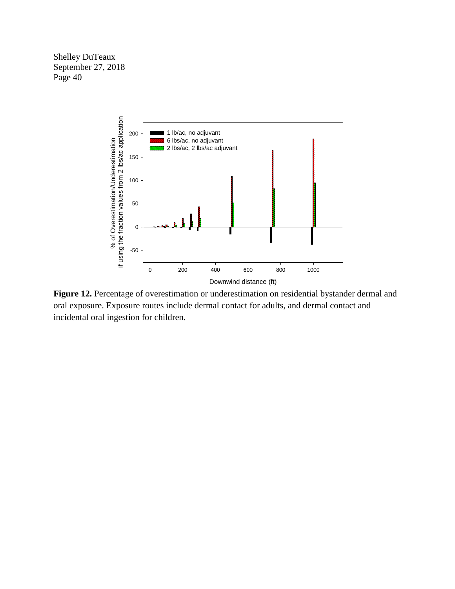

**Figure 12.** Percentage of overestimation or underestimation on residential bystander dermal and oral exposure. Exposure routes include dermal contact for adults, and dermal contact and incidental oral ingestion for children.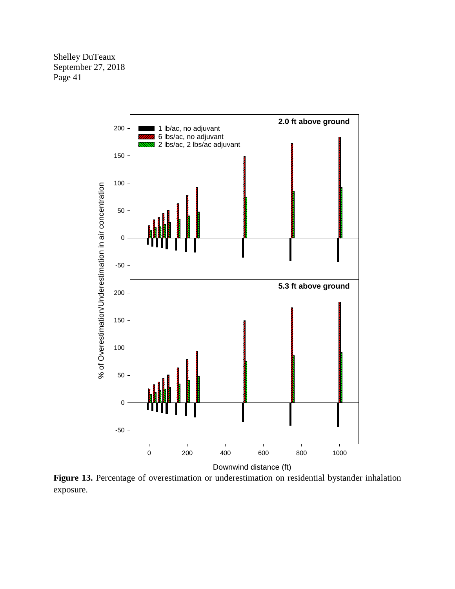

**Figure 13.** Percentage of overestimation or underestimation on residential bystander inhalation exposure.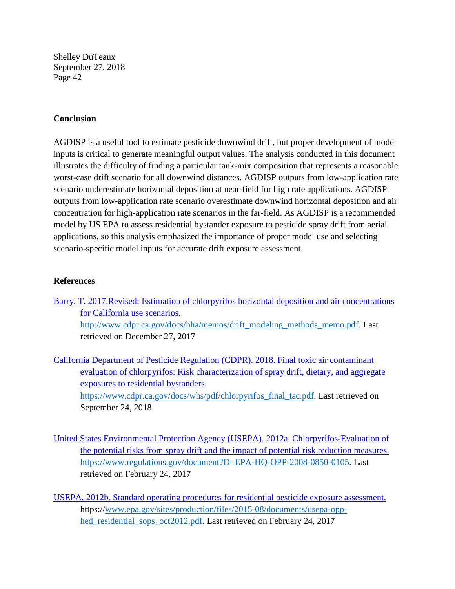#### **Conclusion**

AGDISP is a useful tool to estimate pesticide downwind drift, but proper development of model inputs is critical to generate meaningful output values. The analysis conducted in this document illustrates the difficulty of finding a particular tank-mix composition that represents a reasonable worst-case drift scenario for all downwind distances. AGDISP outputs from low-application rate scenario underestimate horizontal deposition at near-field for high rate applications. AGDISP outputs from low-application rate scenario overestimate downwind horizontal deposition and air concentration for high-application rate scenarios in the far-field. As AGDISP is a recommended model by US EPA to assess residential bystander exposure to pesticide spray drift from aerial applications, so this analysis emphasized the importance of proper model use and selecting scenario-specific model inputs for accurate drift exposure assessment.

#### **References**

[Barry, T. 2017.Revised: Estimation of chlorpyrifos horizontal deposition and air concentrations](http://www.cdpr.ca.gov/docs/hha/memos/drift_modeling_methods_memo.pdf)  [for California use scenarios.](http://www.cdpr.ca.gov/docs/hha/memos/drift_modeling_methods_memo.pdf) [http://www.cdpr.ca.gov/docs/hha/memos/drift\\_modeling\\_methods\\_memo.pdf.](http://www.cdpr.ca.gov/docs/hha/memos/drift_modeling_methods_memo.pdf) Last retrieved on December 27, 2017

[California Department of Pesticide Regulation \(CDPR\). 2018. Final toxic air contaminant](https://www.cdpr.ca.gov/docs/whs/pdf/chlorpyrifos_final_tac.pdf)  [evaluation of chlorpyrifos: Risk characterization of spray drift, dietary, and aggregate](https://www.cdpr.ca.gov/docs/whs/pdf/chlorpyrifos_final_tac.pdf)  [exposures to residential bystanders.](https://www.cdpr.ca.gov/docs/whs/pdf/chlorpyrifos_final_tac.pdf) [https://www.cdpr.ca.gov/docs/whs/pdf/chlorpyrifos\\_final\\_tac.pdf.](https://www.cdpr.ca.gov/docs/whs/pdf/chlorpyrifos_final_tac.pdf) Last retrieved on September 24, 2018

- [United States Environmental Protection Agency \(USEPA\). 2012a. Chlorpyrifos-Evaluation of](https://www.regulations.gov/document?D=EPA-HQ-OPP-2008-0850-0105)  [the potential risks from spray drift and the impact of potential risk reduction measures.](https://www.regulations.gov/document?D=EPA-HQ-OPP-2008-0850-0105) [https://www.regulations.gov/document?D=EPA-HQ-OPP-2008-0850-0105.](https://www.regulations.gov/document?D=EPA-HQ-OPP-2008-0850-0105) Last retrieved on February 24, 2017
- [USEPA. 2012b. Standard operating procedures for residential pesticide exposure assessment.](http://www.epa.gov/sites/production/files/2015-08/documents/usepa-opp-hed_residential_sops_oct2012.pdf) https:/[/www.epa.gov/sites/production/files/2015-08/documents/usepa-opp](http://www.epa.gov/sites/production/files/2015-08/documents/usepa-opp-hed_residential_sops_oct2012.pdf)hed residential sops oct2012.pdf. Last retrieved on February 24, 2017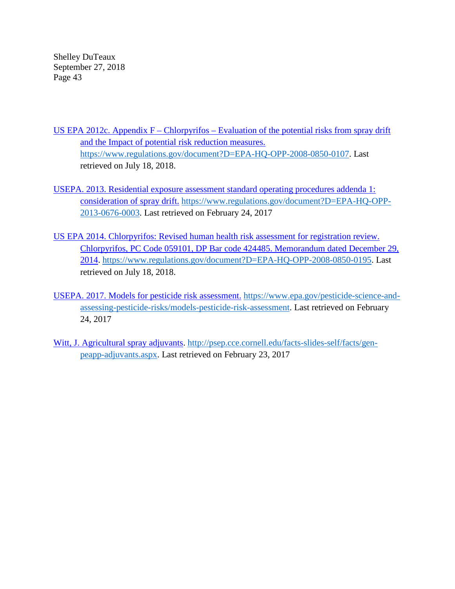US EPA 2012c. Appendix F – Chlorpyrifos – Evaluation of the potential risks from spray drift [and the Impact of potential risk reduction measures.](https://www.regulations.gov/document?D=EPA-HQ-OPP-2008-0850-0107) [https://www.regulations.gov/document?D=EPA-HQ-OPP-2008-0850-0107.](https://www.regulations.gov/document?D=EPA-HQ-OPP-2008-0850-0107) Last retrieved on July 18, 2018.

- [USEPA. 2013. Residential exposure assessment standard operating procedures addenda 1:](https://www.regulations.gov/document?D=EPA-HQ-OPP-2013-0676-0003)  [consideration of spray drift.](https://www.regulations.gov/document?D=EPA-HQ-OPP-2013-0676-0003) [https://www.regulations.gov/document?D=EPA-HQ-OPP-](https://www.regulations.gov/document?D=EPA-HQ-OPP-2013-0676-0003)[2013-0676-0003.](https://www.regulations.gov/document?D=EPA-HQ-OPP-2013-0676-0003) Last retrieved on February 24, 2017
- [US EPA 2014. Chlorpyrifos: Revised human health risk assessment for registration review.](https://www.regulations.gov/document?D=EPA-HQ-OPP-2008-0850-0195)  [Chlorpyrifos, PC Code 059101, DP Bar code 424485. Memorandum dated December 29,](https://www.regulations.gov/document?D=EPA-HQ-OPP-2008-0850-0195)  [2014. https://www.regulations.gov/document?D=EPA-HQ-OPP-2008-0850-0195.](https://www.regulations.gov/document?D=EPA-HQ-OPP-2008-0850-0195) Last retrieved on July 18, 2018.
- [USEPA. 2017. Models for pesticide risk assessment.](https://www.epa.gov/pesticide-science-and-assessing-pesticide-risks/models-pesticide-risk-assessment) [https://www.epa.gov/pesticide-science-and](https://www.epa.gov/pesticide-science-and-assessing-pesticide-risks/models-pesticide-risk-assessment)[assessing-pesticide-risks/models-pesticide-risk-assessment.](https://www.epa.gov/pesticide-science-and-assessing-pesticide-risks/models-pesticide-risk-assessment) Last retrieved on February 24, 2017
- [Witt, J. Agricultural spray adjuvants. http://psep.cce.cornell.edu/facts-slides-self/facts/gen](http://psep.cce.cornell.edu/facts-slides-self/facts/gen-peapp-adjuvants.aspx)[peapp-adjuvants.aspx.](http://psep.cce.cornell.edu/facts-slides-self/facts/gen-peapp-adjuvants.aspx) Last retrieved on February 23, 2017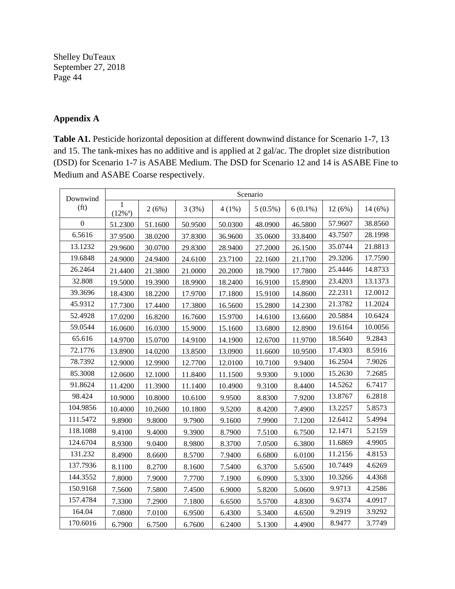# **Appendix A**

**Table A1.** Pesticide horizontal deposition at different downwind distance for Scenario 1-7, 13 and 15. The tank-mixes has no additive and is applied at 2 gal/ac. The droplet size distribution (DSD) for Scenario 1-7 is ASABE Medium. The DSD for Scenario 12 and 14 is ASABE Fine to Medium and ASABE Coarse respectively.

| Downwind          | Scenario                                |         |         |          |            |            |         |         |  |
|-------------------|-----------------------------------------|---------|---------|----------|------------|------------|---------|---------|--|
| (f <sub>t</sub> ) | $\mathbf{1}$<br>$(12\%)$ <sup>a</sup> ) | 2(6%)   | 3(3%)   | $4(1\%)$ | $5(0.5\%)$ | $6(0.1\%)$ | 12(6%)  | 14 (6%) |  |
| $\overline{0}$    | 51.2300                                 | 51.1600 | 50.9500 | 50.0300  | 48.0900    | 46.5800    | 57.9607 | 38.8560 |  |
| 6.5616            | 37.9500                                 | 38.0200 | 37.8300 | 36.9600  | 35.0600    | 33.8400    | 43.7507 | 28.1998 |  |
| 13.1232           | 29.9600                                 | 30.0700 | 29.8300 | 28.9400  | 27.2000    | 26.1500    | 35.0744 | 21.8813 |  |
| 19.6848           | 24.9000                                 | 24.9400 | 24.6100 | 23.7100  | 22.1600    | 21.1700    | 29.3206 | 17.7590 |  |
| 26.2464           | 21.4400                                 | 21.3800 | 21.0000 | 20.2000  | 18.7900    | 17.7800    | 25.4446 | 14.8733 |  |
| 32.808            | 19.5000                                 | 19.3900 | 18.9900 | 18.2400  | 16.9100    | 15.8900    | 23.4203 | 13.1373 |  |
| 39.3696           | 18.4300                                 | 18.2200 | 17.9700 | 17.1800  | 15.9100    | 14.8600    | 22.2311 | 12.0012 |  |
| 45.9312           | 17.7300                                 | 17.4400 | 17.3800 | 16.5600  | 15.2800    | 14.2300    | 21.3782 | 11.2024 |  |
| 52.4928           | 17.0200                                 | 16.8200 | 16.7600 | 15.9700  | 14.6100    | 13.6600    | 20.5884 | 10.6424 |  |
| 59.0544           | 16.0600                                 | 16.0300 | 15.9000 | 15.1600  | 13.6800    | 12.8900    | 19.6164 | 10.0056 |  |
| 65.616            | 14.9700                                 | 15.0700 | 14.9100 | 14.1900  | 12.6700    | 11.9700    | 18.5640 | 9.2843  |  |
| 72.1776           | 13.8900                                 | 14.0200 | 13.8500 | 13.0900  | 11.6600    | 10.9500    | 17.4303 | 8.5916  |  |
| 78.7392           | 12.9000                                 | 12.9900 | 12.7700 | 12.0100  | 10.7100    | 9.9400     | 16.2504 | 7.9026  |  |
| 85.3008           | 12.0600                                 | 12.1000 | 11.8400 | 11.1500  | 9.9300     | 9.1000     | 15.2630 | 7.2685  |  |
| 91.8624           | 11.4200                                 | 11.3900 | 11.1400 | 10.4900  | 9.3100     | 8.4400     | 14.5262 | 6.7417  |  |
| 98.424            | 10.9000                                 | 10.8000 | 10.6100 | 9.9500   | 8.8300     | 7.9200     | 13.8767 | 6.2818  |  |
| 104.9856          | 10.4000                                 | 10.2600 | 10.1800 | 9.5200   | 8.4200     | 7.4900     | 13.2257 | 5.8573  |  |
| 111.5472          | 9.8900                                  | 9.8000  | 9.7900  | 9.1600   | 7.9900     | 7.1200     | 12.6412 | 5.4994  |  |
| 118.1088          | 9.4100                                  | 9.4000  | 9.3900  | 8.7900   | 7.5100     | 6.7500     | 12.1471 | 5.2159  |  |
| 124.6704          | 8.9300                                  | 9.0400  | 8.9800  | 8.3700   | 7.0500     | 6.3800     | 11.6869 | 4.9905  |  |
| 131.232           | 8.4900                                  | 8.6600  | 8.5700  | 7.9400   | 6.6800     | 6.0100     | 11.2156 | 4.8153  |  |
| 137.7936          | 8.1100                                  | 8.2700  | 8.1600  | 7.5400   | 6.3700     | 5.6500     | 10.7449 | 4.6269  |  |
| 144.3552          | 7.8000                                  | 7.9000  | 7.7700  | 7.1900   | 6.0900     | 5.3300     | 10.3266 | 4.4368  |  |
| 150.9168          | 7.5600                                  | 7.5800  | 7.4500  | 6.9000   | 5.8200     | 5.0600     | 9.9713  | 4.2586  |  |
| 157.4784          | 7.3300                                  | 7.2900  | 7.1800  | 6.6500   | 5.5700     | 4.8300     | 9.6374  | 4.0917  |  |
| 164.04            | 7.0800                                  | 7.0100  | 6.9500  | 6.4300   | 5.3400     | 4.6500     | 9.2919  | 3.9292  |  |
| 170.6016          | 6.7900                                  | 6.7500  | 6.7600  | 6.2400   | 5.1300     | 4.4900     | 8.9477  | 3.7749  |  |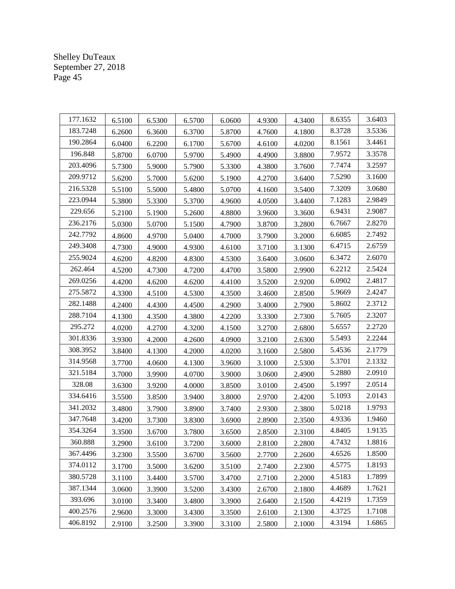| 177.1632 | 6.5100 | 6.5300 | 6.5700 | 6.0600 | 4.9300 | 4.3400 | 8.6355 | 3.6403 |
|----------|--------|--------|--------|--------|--------|--------|--------|--------|
| 183.7248 | 6.2600 | 6.3600 | 6.3700 | 5.8700 | 4.7600 | 4.1800 | 8.3728 | 3.5336 |
| 190.2864 | 6.0400 | 6.2200 | 6.1700 | 5.6700 | 4.6100 | 4.0200 | 8.1561 | 3.4461 |
| 196.848  | 5.8700 | 6.0700 | 5.9700 | 5.4900 | 4.4900 | 3.8800 | 7.9572 | 3.3578 |
| 203.4096 | 5.7300 | 5.9000 | 5.7900 | 5.3300 | 4.3800 | 3.7600 | 7.7474 | 3.2597 |
| 209.9712 | 5.6200 | 5.7000 | 5.6200 | 5.1900 | 4.2700 | 3.6400 | 7.5290 | 3.1600 |
| 216.5328 | 5.5100 | 5.5000 | 5.4800 | 5.0700 | 4.1600 | 3.5400 | 7.3209 | 3.0680 |
| 223.0944 | 5.3800 | 5.3300 | 5.3700 | 4.9600 | 4.0500 | 3.4400 | 7.1283 | 2.9849 |
| 229.656  | 5.2100 | 5.1900 | 5.2600 | 4.8800 | 3.9600 | 3.3600 | 6.9431 | 2.9087 |
| 236.2176 | 5.0300 | 5.0700 | 5.1500 | 4.7900 | 3.8700 | 3.2800 | 6.7667 | 2.8270 |
| 242.7792 | 4.8600 | 4.9700 | 5.0400 | 4.7000 | 3.7900 | 3.2000 | 6.6085 | 2.7492 |
| 249.3408 | 4.7300 | 4.9000 | 4.9300 | 4.6100 | 3.7100 | 3.1300 | 6.4715 | 2.6759 |
| 255.9024 | 4.6200 | 4.8200 | 4.8300 | 4.5300 | 3.6400 | 3.0600 | 6.3472 | 2.6070 |
| 262.464  | 4.5200 | 4.7300 | 4.7200 | 4.4700 | 3.5800 | 2.9900 | 6.2212 | 2.5424 |
| 269.0256 | 4.4200 | 4.6200 | 4.6200 | 4.4100 | 3.5200 | 2.9200 | 6.0902 | 2.4817 |
| 275.5872 | 4.3300 | 4.5100 | 4.5300 | 4.3500 | 3.4600 | 2.8500 | 5.9669 | 2.4247 |
| 282.1488 | 4.2400 | 4.4300 | 4.4500 | 4.2900 | 3.4000 | 2.7900 | 5.8602 | 2.3712 |
| 288.7104 | 4.1300 | 4.3500 | 4.3800 | 4.2200 | 3.3300 | 2.7300 | 5.7605 | 2.3207 |
| 295.272  | 4.0200 | 4.2700 | 4.3200 | 4.1500 | 3.2700 | 2.6800 | 5.6557 | 2.2720 |
| 301.8336 | 3.9300 | 4.2000 | 4.2600 | 4.0900 | 3.2100 | 2.6300 | 5.5493 | 2.2244 |
| 308.3952 | 3.8400 | 4.1300 | 4.2000 | 4.0200 | 3.1600 | 2.5800 | 5.4536 | 2.1779 |
| 314.9568 | 3.7700 | 4.0600 | 4.1300 | 3.9600 | 3.1000 | 2.5300 | 5.3701 | 2.1332 |
| 321.5184 | 3.7000 | 3.9900 | 4.0700 | 3.9000 | 3.0600 | 2.4900 | 5.2880 | 2.0910 |
| 328.08   | 3.6300 | 3.9200 | 4.0000 | 3.8500 | 3.0100 | 2.4500 | 5.1997 | 2.0514 |
| 334.6416 | 3.5500 | 3.8500 | 3.9400 | 3.8000 | 2.9700 | 2.4200 | 5.1093 | 2.0143 |
| 341.2032 | 3.4800 | 3.7900 | 3.8900 | 3.7400 | 2.9300 | 2.3800 | 5.0218 | 1.9793 |
| 347.7648 | 3.4200 | 3.7300 | 3.8300 | 3.6900 | 2.8900 | 2.3500 | 4.9336 | 1.9460 |
| 354.3264 | 3.3500 | 3.6700 | 3.7800 | 3.6500 | 2.8500 | 2.3100 | 4.8405 | 1.9135 |
| 360.888  | 3.2900 | 3.6100 | 3.7200 | 3.6000 | 2.8100 | 2.2800 | 4.7432 | 1.8816 |
| 367.4496 | 3.2300 | 3.5500 | 3.6700 | 3.5600 | 2.7700 | 2.2600 | 4.6526 | 1.8500 |
| 374.0112 | 3.1700 | 3.5000 | 3.6200 | 3.5100 | 2.7400 | 2.2300 | 4.5775 | 1.8193 |
| 380.5728 | 3.1100 | 3.4400 | 3.5700 | 3.4700 | 2.7100 | 2.2000 | 4.5183 | 1.7899 |
| 387.1344 | 3.0600 | 3.3900 | 3.5200 | 3.4300 | 2.6700 | 2.1800 | 4.4689 | 1.7621 |
| 393.696  | 3.0100 | 3.3400 | 3.4800 | 3.3900 | 2.6400 | 2.1500 | 4.4219 | 1.7359 |
| 400.2576 | 2.9600 | 3.3000 | 3.4300 | 3.3500 | 2.6100 | 2.1300 | 4.3725 | 1.7108 |
| 406.8192 | 2.9100 | 3.2500 | 3.3900 | 3.3100 | 2.5800 | 2.1000 | 4.3194 | 1.6865 |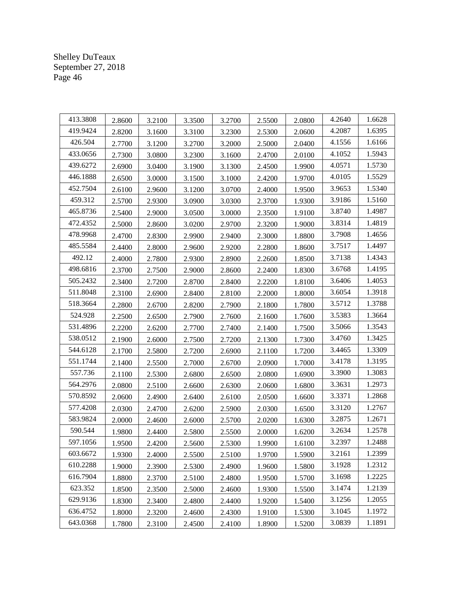| 413.3808 | 2.8600 | 3.2100 | 3.3500 | 3.2700 | 2.5500 | 2.0800 | 4.2640 | 1.6628 |
|----------|--------|--------|--------|--------|--------|--------|--------|--------|
| 419.9424 | 2.8200 | 3.1600 | 3.3100 | 3.2300 | 2.5300 | 2.0600 | 4.2087 | 1.6395 |
| 426.504  | 2.7700 | 3.1200 | 3.2700 | 3.2000 | 2.5000 | 2.0400 | 4.1556 | 1.6166 |
| 433.0656 | 2.7300 | 3.0800 | 3.2300 | 3.1600 | 2.4700 | 2.0100 | 4.1052 | 1.5943 |
| 439.6272 | 2.6900 | 3.0400 | 3.1900 | 3.1300 | 2.4500 | 1.9900 | 4.0571 | 1.5730 |
| 446.1888 | 2.6500 | 3.0000 | 3.1500 | 3.1000 | 2.4200 | 1.9700 | 4.0105 | 1.5529 |
| 452.7504 | 2.6100 | 2.9600 | 3.1200 | 3.0700 | 2.4000 | 1.9500 | 3.9653 | 1.5340 |
| 459.312  | 2.5700 | 2.9300 | 3.0900 | 3.0300 | 2.3700 | 1.9300 | 3.9186 | 1.5160 |
| 465.8736 | 2.5400 | 2.9000 | 3.0500 | 3.0000 | 2.3500 | 1.9100 | 3.8740 | 1.4987 |
| 472.4352 | 2.5000 | 2.8600 | 3.0200 | 2.9700 | 2.3200 | 1.9000 | 3.8314 | 1.4819 |
| 478.9968 | 2.4700 | 2.8300 | 2.9900 | 2.9400 | 2.3000 | 1.8800 | 3.7908 | 1.4656 |
| 485.5584 | 2.4400 | 2.8000 | 2.9600 | 2.9200 | 2.2800 | 1.8600 | 3.7517 | 1.4497 |
| 492.12   | 2.4000 | 2.7800 | 2.9300 | 2.8900 | 2.2600 | 1.8500 | 3.7138 | 1.4343 |
| 498.6816 | 2.3700 | 2.7500 | 2.9000 | 2.8600 | 2.2400 | 1.8300 | 3.6768 | 1.4195 |
| 505.2432 | 2.3400 | 2.7200 | 2.8700 | 2.8400 | 2.2200 | 1.8100 | 3.6406 | 1.4053 |
| 511.8048 | 2.3100 | 2.6900 | 2.8400 | 2.8100 | 2.2000 | 1.8000 | 3.6054 | 1.3918 |
| 518.3664 | 2.2800 | 2.6700 | 2.8200 | 2.7900 | 2.1800 | 1.7800 | 3.5712 | 1.3788 |
| 524.928  | 2.2500 | 2.6500 | 2.7900 | 2.7600 | 2.1600 | 1.7600 | 3.5383 | 1.3664 |
| 531.4896 | 2.2200 | 2.6200 | 2.7700 | 2.7400 | 2.1400 | 1.7500 | 3.5066 | 1.3543 |
| 538.0512 | 2.1900 | 2.6000 | 2.7500 | 2.7200 | 2.1300 | 1.7300 | 3.4760 | 1.3425 |
| 544.6128 | 2.1700 | 2.5800 | 2.7200 | 2.6900 | 2.1100 | 1.7200 | 3.4465 | 1.3309 |
| 551.1744 | 2.1400 | 2.5500 | 2.7000 | 2.6700 | 2.0900 | 1.7000 | 3.4178 | 1.3195 |
| 557.736  | 2.1100 | 2.5300 | 2.6800 | 2.6500 | 2.0800 | 1.6900 | 3.3900 | 1.3083 |
| 564.2976 | 2.0800 | 2.5100 | 2.6600 | 2.6300 | 2.0600 | 1.6800 | 3.3631 | 1.2973 |
| 570.8592 | 2.0600 | 2.4900 | 2.6400 | 2.6100 | 2.0500 | 1.6600 | 3.3371 | 1.2868 |
| 577.4208 | 2.0300 | 2.4700 | 2.6200 | 2.5900 | 2.0300 | 1.6500 | 3.3120 | 1.2767 |
| 583.9824 | 2.0000 | 2.4600 | 2.6000 | 2.5700 | 2.0200 | 1.6300 | 3.2875 | 1.2671 |
| 590.544  | 1.9800 | 2.4400 | 2.5800 | 2.5500 | 2.0000 | 1.6200 | 3.2634 | 1.2578 |
| 597.1056 | 1.9500 | 2.4200 | 2.5600 | 2.5300 | 1.9900 | 1.6100 | 3.2397 | 1.2488 |
| 603.6672 | 1.9300 | 2.4000 | 2.5500 | 2.5100 | 1.9700 | 1.5900 | 3.2161 | 1.2399 |
| 610.2288 | 1.9000 | 2.3900 | 2.5300 | 2.4900 | 1.9600 | 1.5800 | 3.1928 | 1.2312 |
| 616.7904 | 1.8800 | 2.3700 | 2.5100 | 2.4800 | 1.9500 | 1.5700 | 3.1698 | 1.2225 |
| 623.352  | 1.8500 | 2.3500 | 2.5000 | 2.4600 | 1.9300 | 1.5500 | 3.1474 | 1.2139 |
| 629.9136 | 1.8300 | 2.3400 | 2.4800 | 2.4400 | 1.9200 | 1.5400 | 3.1256 | 1.2055 |
| 636.4752 | 1.8000 | 2.3200 | 2.4600 | 2.4300 | 1.9100 | 1.5300 | 3.1045 | 1.1972 |
| 643.0368 | 1.7800 | 2.3100 | 2.4500 | 2.4100 | 1.8900 | 1.5200 | 3.0839 | 1.1891 |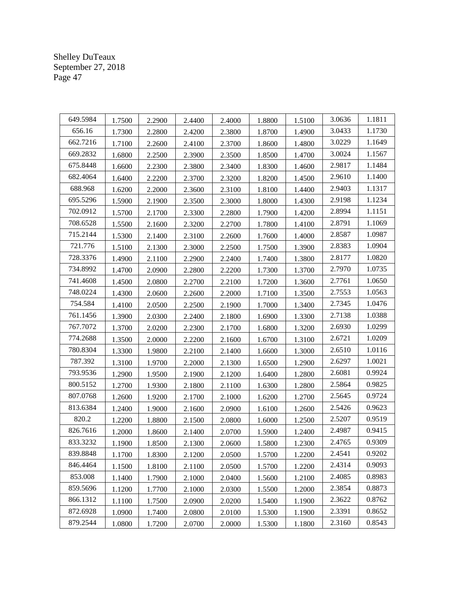| 649.5984 | 1.7500 | 2.2900 | 2.4400 | 2.4000 | 1.8800 | 1.5100 | 3.0636 | 1.1811 |
|----------|--------|--------|--------|--------|--------|--------|--------|--------|
| 656.16   | 1.7300 | 2.2800 | 2.4200 | 2.3800 | 1.8700 | 1.4900 | 3.0433 | 1.1730 |
| 662.7216 | 1.7100 | 2.2600 | 2.4100 | 2.3700 | 1.8600 | 1.4800 | 3.0229 | 1.1649 |
| 669.2832 | 1.6800 | 2.2500 | 2.3900 | 2.3500 | 1.8500 | 1.4700 | 3.0024 | 1.1567 |
| 675.8448 | 1.6600 | 2.2300 | 2.3800 | 2.3400 | 1.8300 | 1.4600 | 2.9817 | 1.1484 |
| 682.4064 | 1.6400 | 2.2200 | 2.3700 | 2.3200 | 1.8200 | 1.4500 | 2.9610 | 1.1400 |
| 688.968  | 1.6200 | 2.2000 | 2.3600 | 2.3100 | 1.8100 | 1.4400 | 2.9403 | 1.1317 |
| 695.5296 | 1.5900 | 2.1900 | 2.3500 | 2.3000 | 1.8000 | 1.4300 | 2.9198 | 1.1234 |
| 702.0912 | 1.5700 | 2.1700 | 2.3300 | 2.2800 | 1.7900 | 1.4200 | 2.8994 | 1.1151 |
| 708.6528 | 1.5500 | 2.1600 | 2.3200 | 2.2700 | 1.7800 | 1.4100 | 2.8791 | 1.1069 |
| 715.2144 | 1.5300 | 2.1400 | 2.3100 | 2.2600 | 1.7600 | 1.4000 | 2.8587 | 1.0987 |
| 721.776  | 1.5100 | 2.1300 | 2.3000 | 2.2500 | 1.7500 | 1.3900 | 2.8383 | 1.0904 |
| 728.3376 | 1.4900 | 2.1100 | 2.2900 | 2.2400 | 1.7400 | 1.3800 | 2.8177 | 1.0820 |
| 734.8992 | 1.4700 | 2.0900 | 2.2800 | 2.2200 | 1.7300 | 1.3700 | 2.7970 | 1.0735 |
| 741.4608 | 1.4500 | 2.0800 | 2.2700 | 2.2100 | 1.7200 | 1.3600 | 2.7761 | 1.0650 |
| 748.0224 | 1.4300 | 2.0600 | 2.2600 | 2.2000 | 1.7100 | 1.3500 | 2.7553 | 1.0563 |
| 754.584  | 1.4100 | 2.0500 | 2.2500 | 2.1900 | 1.7000 | 1.3400 | 2.7345 | 1.0476 |
| 761.1456 | 1.3900 | 2.0300 | 2.2400 | 2.1800 | 1.6900 | 1.3300 | 2.7138 | 1.0388 |
| 767.7072 | 1.3700 | 2.0200 | 2.2300 | 2.1700 | 1.6800 | 1.3200 | 2.6930 | 1.0299 |
| 774.2688 | 1.3500 | 2.0000 | 2.2200 | 2.1600 | 1.6700 | 1.3100 | 2.6721 | 1.0209 |
| 780.8304 | 1.3300 | 1.9800 | 2.2100 | 2.1400 | 1.6600 | 1.3000 | 2.6510 | 1.0116 |
| 787.392  | 1.3100 | 1.9700 | 2.2000 | 2.1300 | 1.6500 | 1.2900 | 2.6297 | 1.0021 |
| 793.9536 | 1.2900 | 1.9500 | 2.1900 | 2.1200 | 1.6400 | 1.2800 | 2.6081 | 0.9924 |
| 800.5152 | 1.2700 | 1.9300 | 2.1800 | 2.1100 | 1.6300 | 1.2800 | 2.5864 | 0.9825 |
| 807.0768 | 1.2600 | 1.9200 | 2.1700 | 2.1000 | 1.6200 | 1.2700 | 2.5645 | 0.9724 |
| 813.6384 | 1.2400 | 1.9000 | 2.1600 | 2.0900 | 1.6100 | 1.2600 | 2.5426 | 0.9623 |
| 820.2    | 1.2200 | 1.8800 | 2.1500 | 2.0800 | 1.6000 | 1.2500 | 2.5207 | 0.9519 |
| 826.7616 | 1.2000 | 1.8600 | 2.1400 | 2.0700 | 1.5900 | 1.2400 | 2.4987 | 0.9415 |
| 833.3232 | 1.1900 | 1.8500 | 2.1300 | 2.0600 | 1.5800 | 1.2300 | 2.4765 | 0.9309 |
| 839.8848 | 1.1700 | 1.8300 | 2.1200 | 2.0500 | 1.5700 | 1.2200 | 2.4541 | 0.9202 |
| 846.4464 | 1.1500 | 1.8100 | 2.1100 | 2.0500 | 1.5700 | 1.2200 | 2.4314 | 0.9093 |
| 853.008  | 1.1400 | 1.7900 | 2.1000 | 2.0400 | 1.5600 | 1.2100 | 2.4085 | 0.8983 |
| 859.5696 | 1.1200 | 1.7700 | 2.1000 | 2.0300 | 1.5500 | 1.2000 | 2.3854 | 0.8873 |
| 866.1312 | 1.1100 | 1.7500 | 2.0900 | 2.0200 | 1.5400 | 1.1900 | 2.3622 | 0.8762 |
| 872.6928 | 1.0900 | 1.7400 | 2.0800 | 2.0100 | 1.5300 | 1.1900 | 2.3391 | 0.8652 |
| 879.2544 | 1.0800 | 1.7200 | 2.0700 | 2.0000 | 1.5300 | 1.1800 | 2.3160 | 0.8543 |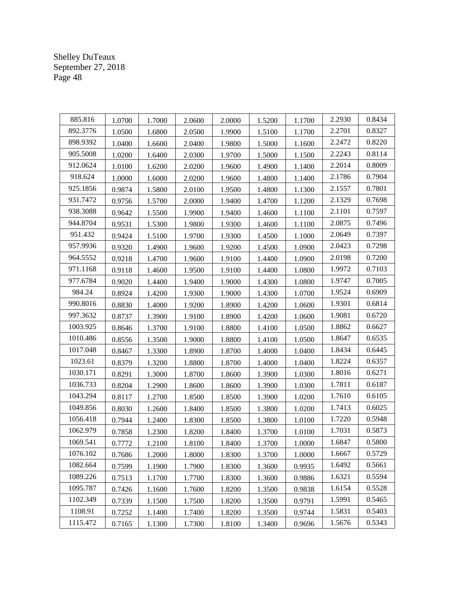| 885.816  | 1.0700 | 1.7000 | 2.0600 | 2.0000 | 1.5200 | 1.1700 | 2.2930 | 0.8434 |
|----------|--------|--------|--------|--------|--------|--------|--------|--------|
| 892.3776 | 1.0500 | 1.6800 | 2.0500 | 1.9900 | 1.5100 | 1.1700 | 2.2701 | 0.8327 |
| 898.9392 | 1.0400 | 1.6600 | 2.0400 | 1.9800 | 1.5000 | 1.1600 | 2.2472 | 0.8220 |
| 905.5008 | 1.0200 | 1.6400 | 2.0300 | 1.9700 | 1.5000 | 1.1500 | 2.2243 | 0.8114 |
| 912.0624 | 1.0100 | 1.6200 | 2.0200 | 1.9600 | 1.4900 | 1.1400 | 2.2014 | 0.8009 |
| 918.624  | 1.0000 | 1.6000 | 2.0200 | 1.9600 | 1.4800 | 1.1400 | 2.1786 | 0.7904 |
| 925.1856 | 0.9874 | 1.5800 | 2.0100 | 1.9500 | 1.4800 | 1.1300 | 2.1557 | 0.7801 |
| 931.7472 | 0.9756 | 1.5700 | 2.0000 | 1.9400 | 1.4700 | 1.1200 | 2.1329 | 0.7698 |
| 938.3088 | 0.9642 | 1.5500 | 1.9900 | 1.9400 | 1.4600 | 1.1100 | 2.1101 | 0.7597 |
| 944.8704 | 0.9531 | 1.5300 | 1.9800 | 1.9300 | 1.4600 | 1.1100 | 2.0875 | 0.7496 |
| 951.432  | 0.9424 | 1.5100 | 1.9700 | 1.9300 | 1.4500 | 1.1000 | 2.0649 | 0.7397 |
| 957.9936 | 0.9320 | 1.4900 | 1.9600 | 1.9200 | 1.4500 | 1.0900 | 2.0423 | 0.7298 |
| 964.5552 | 0.9218 | 1.4700 | 1.9600 | 1.9100 | 1.4400 | 1.0900 | 2.0198 | 0.7200 |
| 971.1168 | 0.9118 | 1.4600 | 1.9500 | 1.9100 | 1.4400 | 1.0800 | 1.9972 | 0.7103 |
| 977.6784 | 0.9020 | 1.4400 | 1.9400 | 1.9000 | 1.4300 | 1.0800 | 1.9747 | 0.7005 |
| 984.24   | 0.8924 | 1.4200 | 1.9300 | 1.9000 | 1.4300 | 1.0700 | 1.9524 | 0.6909 |
| 990.8016 | 0.8830 | 1.4000 | 1.9200 | 1.8900 | 1.4200 | 1.0600 | 1.9301 | 0.6814 |
| 997.3632 | 0.8737 | 1.3900 | 1.9100 | 1.8900 | 1.4200 | 1.0600 | 1.9081 | 0.6720 |
| 1003.925 | 0.8646 | 1.3700 | 1.9100 | 1.8800 | 1.4100 | 1.0500 | 1.8862 | 0.6627 |
| 1010.486 | 0.8556 | 1.3500 | 1.9000 | 1.8800 | 1.4100 | 1.0500 | 1.8647 | 0.6535 |
| 1017.048 | 0.8467 | 1.3300 | 1.8900 | 1.8700 | 1.4000 | 1.0400 | 1.8434 | 0.6445 |
| 1023.61  | 0.8379 | 1.3200 | 1.8800 | 1.8700 | 1.4000 | 1.0400 | 1.8224 | 0.6357 |
| 1030.171 | 0.8291 | 1.3000 | 1.8700 | 1.8600 | 1.3900 | 1.0300 | 1.8016 | 0.6271 |
| 1036.733 | 0.8204 | 1.2900 | 1.8600 | 1.8600 | 1.3900 | 1.0300 | 1.7811 | 0.6187 |
| 1043.294 | 0.8117 | 1.2700 | 1.8500 | 1.8500 | 1.3900 | 1.0200 | 1.7610 | 0.6105 |
| 1049.856 | 0.8030 | 1.2600 | 1.8400 | 1.8500 | 1.3800 | 1.0200 | 1.7413 | 0.6025 |
| 1056.418 | 0.7944 | 1.2400 | 1.8300 | 1.8500 | 1.3800 | 1.0100 | 1.7220 | 0.5948 |
| 1062.979 | 0.7858 | 1.2300 | 1.8200 | 1.8400 | 1.3700 | 1.0100 | 1.7031 | 0.5873 |
| 1069.541 | 0.7772 | 1.2100 | 1.8100 | 1.8400 | 1.3700 | 1.0000 | 1.6847 | 0.5800 |
| 1076.102 | 0.7686 | 1.2000 | 1.8000 | 1.8300 | 1.3700 | 1.0000 | 1.6667 | 0.5729 |
| 1082.664 | 0.7599 | 1.1900 | 1.7900 | 1.8300 | 1.3600 | 0.9935 | 1.6492 | 0.5661 |
| 1089.226 | 0.7513 | 1.1700 | 1.7700 | 1.8300 | 1.3600 | 0.9886 | 1.6321 | 0.5594 |
| 1095.787 | 0.7426 | 1.1600 | 1.7600 | 1.8200 | 1.3500 | 0.9838 | 1.6154 | 0.5528 |
| 1102.349 | 0.7339 | 1.1500 | 1.7500 | 1.8200 | 1.3500 | 0.9791 | 1.5991 | 0.5465 |
| 1108.91  | 0.7252 | 1.1400 | 1.7400 | 1.8200 | 1.3500 | 0.9744 | 1.5831 | 0.5403 |
| 1115.472 | 0.7165 | 1.1300 | 1.7300 | 1.8100 | 1.3400 | 0.9696 | 1.5676 | 0.5343 |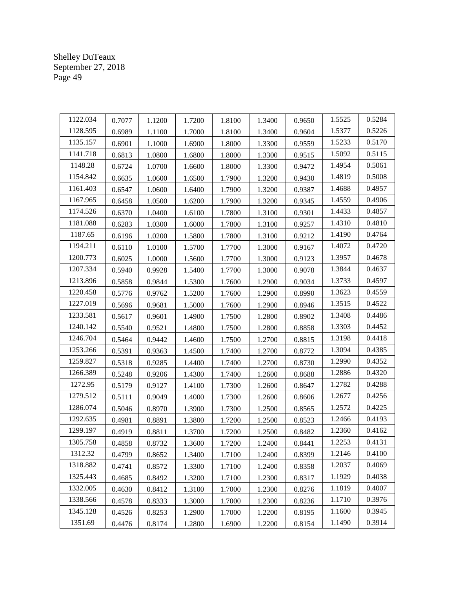| 1122.034 | 0.7077 | 1.1200 | 1.7200 | 1.8100 | 1.3400 | 0.9650 | 1.5525 | 0.5284 |
|----------|--------|--------|--------|--------|--------|--------|--------|--------|
| 1128.595 | 0.6989 | 1.1100 | 1.7000 | 1.8100 | 1.3400 | 0.9604 | 1.5377 | 0.5226 |
| 1135.157 | 0.6901 | 1.1000 | 1.6900 | 1.8000 | 1.3300 | 0.9559 | 1.5233 | 0.5170 |
| 1141.718 | 0.6813 | 1.0800 | 1.6800 | 1.8000 | 1.3300 | 0.9515 | 1.5092 | 0.5115 |
| 1148.28  | 0.6724 | 1.0700 | 1.6600 | 1.8000 | 1.3300 | 0.9472 | 1.4954 | 0.5061 |
| 1154.842 | 0.6635 | 1.0600 | 1.6500 | 1.7900 | 1.3200 | 0.9430 | 1.4819 | 0.5008 |
| 1161.403 | 0.6547 | 1.0600 | 1.6400 | 1.7900 | 1.3200 | 0.9387 | 1.4688 | 0.4957 |
| 1167.965 | 0.6458 | 1.0500 | 1.6200 | 1.7900 | 1.3200 | 0.9345 | 1.4559 | 0.4906 |
| 1174.526 | 0.6370 | 1.0400 | 1.6100 | 1.7800 | 1.3100 | 0.9301 | 1.4433 | 0.4857 |
| 1181.088 | 0.6283 | 1.0300 | 1.6000 | 1.7800 | 1.3100 | 0.9257 | 1.4310 | 0.4810 |
| 1187.65  | 0.6196 | 1.0200 | 1.5800 | 1.7800 | 1.3100 | 0.9212 | 1.4190 | 0.4764 |
| 1194.211 | 0.6110 | 1.0100 | 1.5700 | 1.7700 | 1.3000 | 0.9167 | 1.4072 | 0.4720 |
| 1200.773 | 0.6025 | 1.0000 | 1.5600 | 1.7700 | 1.3000 | 0.9123 | 1.3957 | 0.4678 |
| 1207.334 | 0.5940 | 0.9928 | 1.5400 | 1.7700 | 1.3000 | 0.9078 | 1.3844 | 0.4637 |
| 1213.896 | 0.5858 | 0.9844 | 1.5300 | 1.7600 | 1.2900 | 0.9034 | 1.3733 | 0.4597 |
| 1220.458 | 0.5776 | 0.9762 | 1.5200 | 1.7600 | 1.2900 | 0.8990 | 1.3623 | 0.4559 |
| 1227.019 | 0.5696 | 0.9681 | 1.5000 | 1.7600 | 1.2900 | 0.8946 | 1.3515 | 0.4522 |
| 1233.581 | 0.5617 | 0.9601 | 1.4900 | 1.7500 | 1.2800 | 0.8902 | 1.3408 | 0.4486 |
| 1240.142 | 0.5540 | 0.9521 | 1.4800 | 1.7500 | 1.2800 | 0.8858 | 1.3303 | 0.4452 |
| 1246.704 | 0.5464 | 0.9442 | 1.4600 | 1.7500 | 1.2700 | 0.8815 | 1.3198 | 0.4418 |
| 1253.266 | 0.5391 | 0.9363 | 1.4500 | 1.7400 | 1.2700 | 0.8772 | 1.3094 | 0.4385 |
| 1259.827 | 0.5318 | 0.9285 | 1.4400 | 1.7400 | 1.2700 | 0.8730 | 1.2990 | 0.4352 |
| 1266.389 | 0.5248 | 0.9206 | 1.4300 | 1.7400 | 1.2600 | 0.8688 | 1.2886 | 0.4320 |
| 1272.95  | 0.5179 | 0.9127 | 1.4100 | 1.7300 | 1.2600 | 0.8647 | 1.2782 | 0.4288 |
| 1279.512 | 0.5111 | 0.9049 | 1.4000 | 1.7300 | 1.2600 | 0.8606 | 1.2677 | 0.4256 |
| 1286.074 | 0.5046 | 0.8970 | 1.3900 | 1.7300 | 1.2500 | 0.8565 | 1.2572 | 0.4225 |
| 1292.635 | 0.4981 | 0.8891 | 1.3800 | 1.7200 | 1.2500 | 0.8523 | 1.2466 | 0.4193 |
| 1299.197 | 0.4919 | 0.8811 | 1.3700 | 1.7200 | 1.2500 | 0.8482 | 1.2360 | 0.4162 |
| 1305.758 | 0.4858 | 0.8732 | 1.3600 | 1.7200 | 1.2400 | 0.8441 | 1.2253 | 0.4131 |
| 1312.32  | 0.4799 | 0.8652 | 1.3400 | 1.7100 | 1.2400 | 0.8399 | 1.2146 | 0.4100 |
| 1318.882 | 0.4741 | 0.8572 | 1.3300 | 1.7100 | 1.2400 | 0.8358 | 1.2037 | 0.4069 |
| 1325.443 | 0.4685 | 0.8492 | 1.3200 | 1.7100 | 1.2300 | 0.8317 | 1.1929 | 0.4038 |
| 1332.005 | 0.4630 | 0.8412 | 1.3100 | 1.7000 | 1.2300 | 0.8276 | 1.1819 | 0.4007 |
| 1338.566 | 0.4578 | 0.8333 | 1.3000 | 1.7000 | 1.2300 | 0.8236 | 1.1710 | 0.3976 |
| 1345.128 | 0.4526 | 0.8253 | 1.2900 | 1.7000 | 1.2200 | 0.8195 | 1.1600 | 0.3945 |
| 1351.69  | 0.4476 | 0.8174 | 1.2800 | 1.6900 | 1.2200 | 0.8154 | 1.1490 | 0.3914 |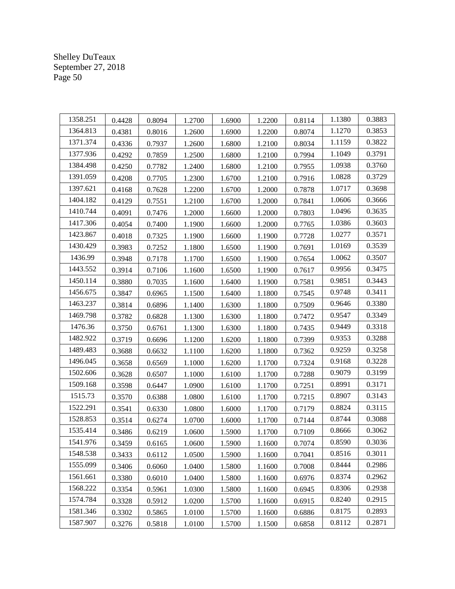| 1358.251 | 0.4428 | 0.8094 | 1.2700 | 1.6900 | 1.2200 | 0.8114 | 1.1380 | 0.3883 |
|----------|--------|--------|--------|--------|--------|--------|--------|--------|
| 1364.813 | 0.4381 | 0.8016 | 1.2600 | 1.6900 | 1.2200 | 0.8074 | 1.1270 | 0.3853 |
| 1371.374 | 0.4336 | 0.7937 | 1.2600 | 1.6800 | 1.2100 | 0.8034 | 1.1159 | 0.3822 |
| 1377.936 | 0.4292 | 0.7859 | 1.2500 | 1.6800 | 1.2100 | 0.7994 | 1.1049 | 0.3791 |
| 1384.498 | 0.4250 | 0.7782 | 1.2400 | 1.6800 | 1.2100 | 0.7955 | 1.0938 | 0.3760 |
| 1391.059 | 0.4208 | 0.7705 | 1.2300 | 1.6700 | 1.2100 | 0.7916 | 1.0828 | 0.3729 |
| 1397.621 | 0.4168 | 0.7628 | 1.2200 | 1.6700 | 1.2000 | 0.7878 | 1.0717 | 0.3698 |
| 1404.182 | 0.4129 | 0.7551 | 1.2100 | 1.6700 | 1.2000 | 0.7841 | 1.0606 | 0.3666 |
| 1410.744 | 0.4091 | 0.7476 | 1.2000 | 1.6600 | 1.2000 | 0.7803 | 1.0496 | 0.3635 |
| 1417.306 | 0.4054 | 0.7400 | 1.1900 | 1.6600 | 1.2000 | 0.7765 | 1.0386 | 0.3603 |
| 1423.867 | 0.4018 | 0.7325 | 1.1900 | 1.6600 | 1.1900 | 0.7728 | 1.0277 | 0.3571 |
| 1430.429 | 0.3983 | 0.7252 | 1.1800 | 1.6500 | 1.1900 | 0.7691 | 1.0169 | 0.3539 |
| 1436.99  | 0.3948 | 0.7178 | 1.1700 | 1.6500 | 1.1900 | 0.7654 | 1.0062 | 0.3507 |
| 1443.552 | 0.3914 | 0.7106 | 1.1600 | 1.6500 | 1.1900 | 0.7617 | 0.9956 | 0.3475 |
| 1450.114 | 0.3880 | 0.7035 | 1.1600 | 1.6400 | 1.1900 | 0.7581 | 0.9851 | 0.3443 |
| 1456.675 | 0.3847 | 0.6965 | 1.1500 | 1.6400 | 1.1800 | 0.7545 | 0.9748 | 0.3411 |
| 1463.237 | 0.3814 | 0.6896 | 1.1400 | 1.6300 | 1.1800 | 0.7509 | 0.9646 | 0.3380 |
| 1469.798 | 0.3782 | 0.6828 | 1.1300 | 1.6300 | 1.1800 | 0.7472 | 0.9547 | 0.3349 |
| 1476.36  | 0.3750 | 0.6761 | 1.1300 | 1.6300 | 1.1800 | 0.7435 | 0.9449 | 0.3318 |
| 1482.922 | 0.3719 | 0.6696 | 1.1200 | 1.6200 | 1.1800 | 0.7399 | 0.9353 | 0.3288 |
| 1489.483 | 0.3688 | 0.6632 | 1.1100 | 1.6200 | 1.1800 | 0.7362 | 0.9259 | 0.3258 |
| 1496.045 | 0.3658 | 0.6569 | 1.1000 | 1.6200 | 1.1700 | 0.7324 | 0.9168 | 0.3228 |
| 1502.606 | 0.3628 | 0.6507 | 1.1000 | 1.6100 | 1.1700 | 0.7288 | 0.9079 | 0.3199 |
| 1509.168 | 0.3598 | 0.6447 | 1.0900 | 1.6100 | 1.1700 | 0.7251 | 0.8991 | 0.3171 |
| 1515.73  | 0.3570 | 0.6388 | 1.0800 | 1.6100 | 1.1700 | 0.7215 | 0.8907 | 0.3143 |
| 1522.291 | 0.3541 | 0.6330 | 1.0800 | 1.6000 | 1.1700 | 0.7179 | 0.8824 | 0.3115 |
| 1528.853 | 0.3514 | 0.6274 | 1.0700 | 1.6000 | 1.1700 | 0.7144 | 0.8744 | 0.3088 |
| 1535.414 | 0.3486 | 0.6219 | 1.0600 | 1.5900 | 1.1700 | 0.7109 | 0.8666 | 0.3062 |
| 1541.976 | 0.3459 | 0.6165 | 1.0600 | 1.5900 | 1.1600 | 0.7074 | 0.8590 | 0.3036 |
| 1548.538 | 0.3433 | 0.6112 | 1.0500 | 1.5900 | 1.1600 | 0.7041 | 0.8516 | 0.3011 |
| 1555.099 | 0.3406 | 0.6060 | 1.0400 | 1.5800 | 1.1600 | 0.7008 | 0.8444 | 0.2986 |
| 1561.661 | 0.3380 | 0.6010 | 1.0400 | 1.5800 | 1.1600 | 0.6976 | 0.8374 | 0.2962 |
| 1568.222 | 0.3354 | 0.5961 | 1.0300 | 1.5800 | 1.1600 | 0.6945 | 0.8306 | 0.2938 |
| 1574.784 | 0.3328 | 0.5912 | 1.0200 | 1.5700 | 1.1600 | 0.6915 | 0.8240 | 0.2915 |
| 1581.346 | 0.3302 | 0.5865 | 1.0100 | 1.5700 | 1.1600 | 0.6886 | 0.8175 | 0.2893 |
| 1587.907 | 0.3276 | 0.5818 | 1.0100 | 1.5700 | 1.1500 | 0.6858 | 0.8112 | 0.2871 |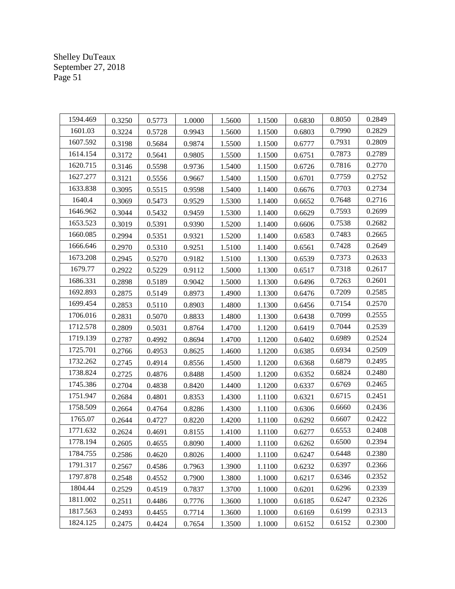| 1594.469 | 0.3250 | 0.5773 | 1.0000 | 1.5600 | 1.1500 | 0.6830 | 0.8050 | 0.2849 |
|----------|--------|--------|--------|--------|--------|--------|--------|--------|
| 1601.03  | 0.3224 | 0.5728 | 0.9943 | 1.5600 | 1.1500 | 0.6803 | 0.7990 | 0.2829 |
| 1607.592 | 0.3198 | 0.5684 | 0.9874 | 1.5500 | 1.1500 | 0.6777 | 0.7931 | 0.2809 |
| 1614.154 | 0.3172 | 0.5641 | 0.9805 | 1.5500 | 1.1500 | 0.6751 | 0.7873 | 0.2789 |
| 1620.715 | 0.3146 | 0.5598 | 0.9736 | 1.5400 | 1.1500 | 0.6726 | 0.7816 | 0.2770 |
| 1627.277 | 0.3121 | 0.5556 | 0.9667 | 1.5400 | 1.1500 | 0.6701 | 0.7759 | 0.2752 |
| 1633.838 | 0.3095 | 0.5515 | 0.9598 | 1.5400 | 1.1400 | 0.6676 | 0.7703 | 0.2734 |
| 1640.4   | 0.3069 | 0.5473 | 0.9529 | 1.5300 | 1.1400 | 0.6652 | 0.7648 | 0.2716 |
| 1646.962 | 0.3044 | 0.5432 | 0.9459 | 1.5300 | 1.1400 | 0.6629 | 0.7593 | 0.2699 |
| 1653.523 | 0.3019 | 0.5391 | 0.9390 | 1.5200 | 1.1400 | 0.6606 | 0.7538 | 0.2682 |
| 1660.085 | 0.2994 | 0.5351 | 0.9321 | 1.5200 | 1.1400 | 0.6583 | 0.7483 | 0.2665 |
| 1666.646 | 0.2970 | 0.5310 | 0.9251 | 1.5100 | 1.1400 | 0.6561 | 0.7428 | 0.2649 |
| 1673.208 | 0.2945 | 0.5270 | 0.9182 | 1.5100 | 1.1300 | 0.6539 | 0.7373 | 0.2633 |
| 1679.77  | 0.2922 | 0.5229 | 0.9112 | 1.5000 | 1.1300 | 0.6517 | 0.7318 | 0.2617 |
| 1686.331 | 0.2898 | 0.5189 | 0.9042 | 1.5000 | 1.1300 | 0.6496 | 0.7263 | 0.2601 |
| 1692.893 | 0.2875 | 0.5149 | 0.8973 | 1.4900 | 1.1300 | 0.6476 | 0.7209 | 0.2585 |
| 1699.454 | 0.2853 | 0.5110 | 0.8903 | 1.4800 | 1.1300 | 0.6456 | 0.7154 | 0.2570 |
| 1706.016 | 0.2831 | 0.5070 | 0.8833 | 1.4800 | 1.1300 | 0.6438 | 0.7099 | 0.2555 |
| 1712.578 | 0.2809 | 0.5031 | 0.8764 | 1.4700 | 1.1200 | 0.6419 | 0.7044 | 0.2539 |
| 1719.139 | 0.2787 | 0.4992 | 0.8694 | 1.4700 | 1.1200 | 0.6402 | 0.6989 | 0.2524 |
| 1725.701 | 0.2766 | 0.4953 | 0.8625 | 1.4600 | 1.1200 | 0.6385 | 0.6934 | 0.2509 |
| 1732.262 | 0.2745 | 0.4914 | 0.8556 | 1.4500 | 1.1200 | 0.6368 | 0.6879 | 0.2495 |
| 1738.824 | 0.2725 | 0.4876 | 0.8488 | 1.4500 | 1.1200 | 0.6352 | 0.6824 | 0.2480 |
| 1745.386 | 0.2704 | 0.4838 | 0.8420 | 1.4400 | 1.1200 | 0.6337 | 0.6769 | 0.2465 |
| 1751.947 | 0.2684 | 0.4801 | 0.8353 | 1.4300 | 1.1100 | 0.6321 | 0.6715 | 0.2451 |
| 1758.509 | 0.2664 | 0.4764 | 0.8286 | 1.4300 | 1.1100 | 0.6306 | 0.6660 | 0.2436 |
| 1765.07  | 0.2644 | 0.4727 | 0.8220 | 1.4200 | 1.1100 | 0.6292 | 0.6607 | 0.2422 |
| 1771.632 | 0.2624 | 0.4691 | 0.8155 | 1.4100 | 1.1100 | 0.6277 | 0.6553 | 0.2408 |
| 1778.194 | 0.2605 | 0.4655 | 0.8090 | 1.4000 | 1.1100 | 0.6262 | 0.6500 | 0.2394 |
| 1784.755 | 0.2586 | 0.4620 | 0.8026 | 1.4000 | 1.1100 | 0.6247 | 0.6448 | 0.2380 |
| 1791.317 | 0.2567 | 0.4586 | 0.7963 | 1.3900 | 1.1100 | 0.6232 | 0.6397 | 0.2366 |
| 1797.878 | 0.2548 | 0.4552 | 0.7900 | 1.3800 | 1.1000 | 0.6217 | 0.6346 | 0.2352 |
| 1804.44  | 0.2529 | 0.4519 | 0.7837 | 1.3700 | 1.1000 | 0.6201 | 0.6296 | 0.2339 |
| 1811.002 | 0.2511 | 0.4486 | 0.7776 | 1.3600 | 1.1000 | 0.6185 | 0.6247 | 0.2326 |
| 1817.563 | 0.2493 | 0.4455 | 0.7714 | 1.3600 | 1.1000 | 0.6169 | 0.6199 | 0.2313 |
| 1824.125 | 0.2475 | 0.4424 | 0.7654 | 1.3500 | 1.1000 | 0.6152 | 0.6152 | 0.2300 |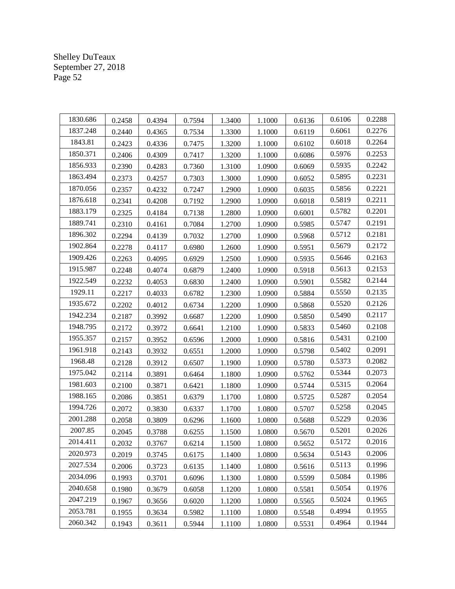| 1830.686 | 0.2458 | 0.4394 | 0.7594 | 1.3400 | 1.1000 | 0.6136 | 0.6106 | 0.2288 |
|----------|--------|--------|--------|--------|--------|--------|--------|--------|
| 1837.248 | 0.2440 | 0.4365 | 0.7534 | 1.3300 | 1.1000 | 0.6119 | 0.6061 | 0.2276 |
| 1843.81  | 0.2423 | 0.4336 | 0.7475 | 1.3200 | 1.1000 | 0.6102 | 0.6018 | 0.2264 |
| 1850.371 | 0.2406 | 0.4309 | 0.7417 | 1.3200 | 1.1000 | 0.6086 | 0.5976 | 0.2253 |
| 1856.933 | 0.2390 | 0.4283 | 0.7360 | 1.3100 | 1.0900 | 0.6069 | 0.5935 | 0.2242 |
| 1863.494 | 0.2373 | 0.4257 | 0.7303 | 1.3000 | 1.0900 | 0.6052 | 0.5895 | 0.2231 |
| 1870.056 | 0.2357 | 0.4232 | 0.7247 | 1.2900 | 1.0900 | 0.6035 | 0.5856 | 0.2221 |
| 1876.618 | 0.2341 | 0.4208 | 0.7192 | 1.2900 | 1.0900 | 0.6018 | 0.5819 | 0.2211 |
| 1883.179 | 0.2325 | 0.4184 | 0.7138 | 1.2800 | 1.0900 | 0.6001 | 0.5782 | 0.2201 |
| 1889.741 | 0.2310 | 0.4161 | 0.7084 | 1.2700 | 1.0900 | 0.5985 | 0.5747 | 0.2191 |
| 1896.302 | 0.2294 | 0.4139 | 0.7032 | 1.2700 | 1.0900 | 0.5968 | 0.5712 | 0.2181 |
| 1902.864 | 0.2278 | 0.4117 | 0.6980 | 1.2600 | 1.0900 | 0.5951 | 0.5679 | 0.2172 |
| 1909.426 | 0.2263 | 0.4095 | 0.6929 | 1.2500 | 1.0900 | 0.5935 | 0.5646 | 0.2163 |
| 1915.987 | 0.2248 | 0.4074 | 0.6879 | 1.2400 | 1.0900 | 0.5918 | 0.5613 | 0.2153 |
| 1922.549 | 0.2232 | 0.4053 | 0.6830 | 1.2400 | 1.0900 | 0.5901 | 0.5582 | 0.2144 |
| 1929.11  | 0.2217 | 0.4033 | 0.6782 | 1.2300 | 1.0900 | 0.5884 | 0.5550 | 0.2135 |
| 1935.672 | 0.2202 | 0.4012 | 0.6734 | 1.2200 | 1.0900 | 0.5868 | 0.5520 | 0.2126 |
| 1942.234 | 0.2187 | 0.3992 | 0.6687 | 1.2200 | 1.0900 | 0.5850 | 0.5490 | 0.2117 |
| 1948.795 | 0.2172 | 0.3972 | 0.6641 | 1.2100 | 1.0900 | 0.5833 | 0.5460 | 0.2108 |
| 1955.357 | 0.2157 | 0.3952 | 0.6596 | 1.2000 | 1.0900 | 0.5816 | 0.5431 | 0.2100 |
| 1961.918 | 0.2143 | 0.3932 | 0.6551 | 1.2000 | 1.0900 | 0.5798 | 0.5402 | 0.2091 |
| 1968.48  | 0.2128 | 0.3912 | 0.6507 | 1.1900 | 1.0900 | 0.5780 | 0.5373 | 0.2082 |
| 1975.042 | 0.2114 | 0.3891 | 0.6464 | 1.1800 | 1.0900 | 0.5762 | 0.5344 | 0.2073 |
| 1981.603 | 0.2100 | 0.3871 | 0.6421 | 1.1800 | 1.0900 | 0.5744 | 0.5315 | 0.2064 |
| 1988.165 | 0.2086 | 0.3851 | 0.6379 | 1.1700 | 1.0800 | 0.5725 | 0.5287 | 0.2054 |
| 1994.726 | 0.2072 | 0.3830 | 0.6337 | 1.1700 | 1.0800 | 0.5707 | 0.5258 | 0.2045 |
| 2001.288 | 0.2058 | 0.3809 | 0.6296 | 1.1600 | 1.0800 | 0.5688 | 0.5229 | 0.2036 |
| 2007.85  | 0.2045 | 0.3788 | 0.6255 | 1.1500 | 1.0800 | 0.5670 | 0.5201 | 0.2026 |
| 2014.411 | 0.2032 | 0.3767 | 0.6214 | 1.1500 | 1.0800 | 0.5652 | 0.5172 | 0.2016 |
| 2020.973 | 0.2019 | 0.3745 | 0.6175 | 1.1400 | 1.0800 | 0.5634 | 0.5143 | 0.2006 |
| 2027.534 | 0.2006 | 0.3723 | 0.6135 | 1.1400 | 1.0800 | 0.5616 | 0.5113 | 0.1996 |
| 2034.096 | 0.1993 | 0.3701 | 0.6096 | 1.1300 | 1.0800 | 0.5599 | 0.5084 | 0.1986 |
| 2040.658 | 0.1980 | 0.3679 | 0.6058 | 1.1200 | 1.0800 | 0.5581 | 0.5054 | 0.1976 |
| 2047.219 | 0.1967 | 0.3656 | 0.6020 | 1.1200 | 1.0800 | 0.5565 | 0.5024 | 0.1965 |
| 2053.781 | 0.1955 | 0.3634 | 0.5982 | 1.1100 | 1.0800 | 0.5548 | 0.4994 | 0.1955 |
| 2060.342 | 0.1943 | 0.3611 | 0.5944 | 1.1100 | 1.0800 | 0.5531 | 0.4964 | 0.1944 |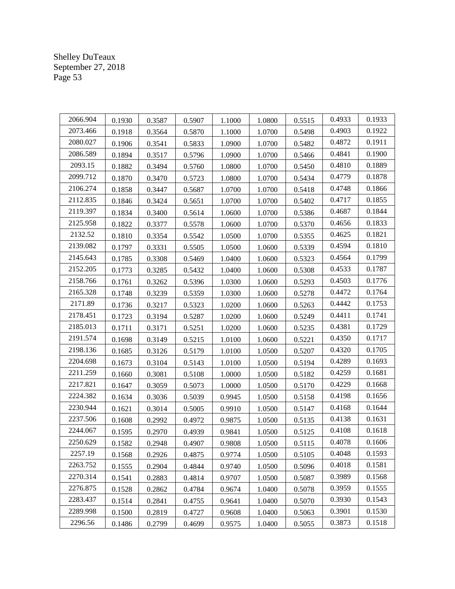| 2066.904 | 0.1930 | 0.3587 | 0.5907 | 1.1000 | 1.0800 | 0.5515 | 0.4933 | 0.1933 |
|----------|--------|--------|--------|--------|--------|--------|--------|--------|
| 2073.466 | 0.1918 | 0.3564 | 0.5870 | 1.1000 | 1.0700 | 0.5498 | 0.4903 | 0.1922 |
| 2080.027 | 0.1906 | 0.3541 | 0.5833 | 1.0900 | 1.0700 | 0.5482 | 0.4872 | 0.1911 |
| 2086.589 | 0.1894 | 0.3517 | 0.5796 | 1.0900 | 1.0700 | 0.5466 | 0.4841 | 0.1900 |
| 2093.15  | 0.1882 | 0.3494 | 0.5760 | 1.0800 | 1.0700 | 0.5450 | 0.4810 | 0.1889 |
| 2099.712 | 0.1870 | 0.3470 | 0.5723 | 1.0800 | 1.0700 | 0.5434 | 0.4779 | 0.1878 |
| 2106.274 | 0.1858 | 0.3447 | 0.5687 | 1.0700 | 1.0700 | 0.5418 | 0.4748 | 0.1866 |
| 2112.835 | 0.1846 | 0.3424 | 0.5651 | 1.0700 | 1.0700 | 0.5402 | 0.4717 | 0.1855 |
| 2119.397 | 0.1834 | 0.3400 | 0.5614 | 1.0600 | 1.0700 | 0.5386 | 0.4687 | 0.1844 |
| 2125.958 | 0.1822 | 0.3377 | 0.5578 | 1.0600 | 1.0700 | 0.5370 | 0.4656 | 0.1833 |
| 2132.52  | 0.1810 | 0.3354 | 0.5542 | 1.0500 | 1.0700 | 0.5355 | 0.4625 | 0.1821 |
| 2139.082 | 0.1797 | 0.3331 | 0.5505 | 1.0500 | 1.0600 | 0.5339 | 0.4594 | 0.1810 |
| 2145.643 | 0.1785 | 0.3308 | 0.5469 | 1.0400 | 1.0600 | 0.5323 | 0.4564 | 0.1799 |
| 2152.205 | 0.1773 | 0.3285 | 0.5432 | 1.0400 | 1.0600 | 0.5308 | 0.4533 | 0.1787 |
| 2158.766 | 0.1761 | 0.3262 | 0.5396 | 1.0300 | 1.0600 | 0.5293 | 0.4503 | 0.1776 |
| 2165.328 | 0.1748 | 0.3239 | 0.5359 | 1.0300 | 1.0600 | 0.5278 | 0.4472 | 0.1764 |
| 2171.89  | 0.1736 | 0.3217 | 0.5323 | 1.0200 | 1.0600 | 0.5263 | 0.4442 | 0.1753 |
| 2178.451 | 0.1723 | 0.3194 | 0.5287 | 1.0200 | 1.0600 | 0.5249 | 0.4411 | 0.1741 |
| 2185.013 | 0.1711 | 0.3171 | 0.5251 | 1.0200 | 1.0600 | 0.5235 | 0.4381 | 0.1729 |
| 2191.574 | 0.1698 | 0.3149 | 0.5215 | 1.0100 | 1.0600 | 0.5221 | 0.4350 | 0.1717 |
| 2198.136 | 0.1685 | 0.3126 | 0.5179 | 1.0100 | 1.0500 | 0.5207 | 0.4320 | 0.1705 |
| 2204.698 | 0.1673 | 0.3104 | 0.5143 | 1.0100 | 1.0500 | 0.5194 | 0.4289 | 0.1693 |
| 2211.259 | 0.1660 | 0.3081 | 0.5108 | 1.0000 | 1.0500 | 0.5182 | 0.4259 | 0.1681 |
| 2217.821 | 0.1647 | 0.3059 | 0.5073 | 1.0000 | 1.0500 | 0.5170 | 0.4229 | 0.1668 |
| 2224.382 | 0.1634 | 0.3036 | 0.5039 | 0.9945 | 1.0500 | 0.5158 | 0.4198 | 0.1656 |
| 2230.944 | 0.1621 | 0.3014 | 0.5005 | 0.9910 | 1.0500 | 0.5147 | 0.4168 | 0.1644 |
| 2237.506 | 0.1608 | 0.2992 | 0.4972 | 0.9875 | 1.0500 | 0.5135 | 0.4138 | 0.1631 |
| 2244.067 | 0.1595 | 0.2970 | 0.4939 | 0.9841 | 1.0500 | 0.5125 | 0.4108 | 0.1618 |
| 2250.629 | 0.1582 | 0.2948 | 0.4907 | 0.9808 | 1.0500 | 0.5115 | 0.4078 | 0.1606 |
| 2257.19  | 0.1568 | 0.2926 | 0.4875 | 0.9774 | 1.0500 | 0.5105 | 0.4048 | 0.1593 |
| 2263.752 | 0.1555 | 0.2904 | 0.4844 | 0.9740 | 1.0500 | 0.5096 | 0.4018 | 0.1581 |
| 2270.314 | 0.1541 | 0.2883 | 0.4814 | 0.9707 | 1.0500 | 0.5087 | 0.3989 | 0.1568 |
| 2276.875 | 0.1528 | 0.2862 | 0.4784 | 0.9674 | 1.0400 | 0.5078 | 0.3959 | 0.1555 |
| 2283.437 | 0.1514 | 0.2841 | 0.4755 | 0.9641 | 1.0400 | 0.5070 | 0.3930 | 0.1543 |
| 2289.998 | 0.1500 | 0.2819 | 0.4727 | 0.9608 | 1.0400 | 0.5063 | 0.3901 | 0.1530 |
| 2296.56  | 0.1486 | 0.2799 | 0.4699 | 0.9575 | 1.0400 | 0.5055 | 0.3873 | 0.1518 |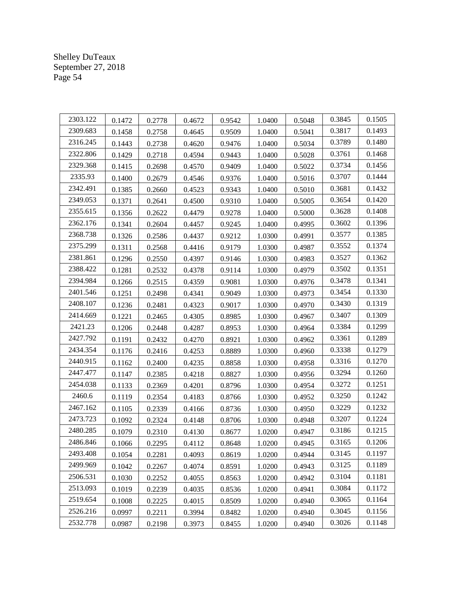| 2303.122 | 0.1472 | 0.2778 | 0.4672 | 0.9542 | 1.0400 | 0.5048 | 0.3845 | 0.1505 |
|----------|--------|--------|--------|--------|--------|--------|--------|--------|
| 2309.683 | 0.1458 | 0.2758 | 0.4645 | 0.9509 | 1.0400 | 0.5041 | 0.3817 | 0.1493 |
| 2316.245 | 0.1443 | 0.2738 | 0.4620 | 0.9476 | 1.0400 | 0.5034 | 0.3789 | 0.1480 |
| 2322.806 | 0.1429 | 0.2718 | 0.4594 | 0.9443 | 1.0400 | 0.5028 | 0.3761 | 0.1468 |
| 2329.368 | 0.1415 | 0.2698 | 0.4570 | 0.9409 | 1.0400 | 0.5022 | 0.3734 | 0.1456 |
| 2335.93  | 0.1400 | 0.2679 | 0.4546 | 0.9376 | 1.0400 | 0.5016 | 0.3707 | 0.1444 |
| 2342.491 | 0.1385 | 0.2660 | 0.4523 | 0.9343 | 1.0400 | 0.5010 | 0.3681 | 0.1432 |
| 2349.053 | 0.1371 | 0.2641 | 0.4500 | 0.9310 | 1.0400 | 0.5005 | 0.3654 | 0.1420 |
| 2355.615 | 0.1356 | 0.2622 | 0.4479 | 0.9278 | 1.0400 | 0.5000 | 0.3628 | 0.1408 |
| 2362.176 | 0.1341 | 0.2604 | 0.4457 | 0.9245 | 1.0400 | 0.4995 | 0.3602 | 0.1396 |
| 2368.738 | 0.1326 | 0.2586 | 0.4437 | 0.9212 | 1.0300 | 0.4991 | 0.3577 | 0.1385 |
| 2375.299 | 0.1311 | 0.2568 | 0.4416 | 0.9179 | 1.0300 | 0.4987 | 0.3552 | 0.1374 |
| 2381.861 | 0.1296 | 0.2550 | 0.4397 | 0.9146 | 1.0300 | 0.4983 | 0.3527 | 0.1362 |
| 2388.422 | 0.1281 | 0.2532 | 0.4378 | 0.9114 | 1.0300 | 0.4979 | 0.3502 | 0.1351 |
| 2394.984 | 0.1266 | 0.2515 | 0.4359 | 0.9081 | 1.0300 | 0.4976 | 0.3478 | 0.1341 |
| 2401.546 | 0.1251 | 0.2498 | 0.4341 | 0.9049 | 1.0300 | 0.4973 | 0.3454 | 0.1330 |
| 2408.107 | 0.1236 | 0.2481 | 0.4323 | 0.9017 | 1.0300 | 0.4970 | 0.3430 | 0.1319 |
| 2414.669 | 0.1221 | 0.2465 | 0.4305 | 0.8985 | 1.0300 | 0.4967 | 0.3407 | 0.1309 |
| 2421.23  | 0.1206 | 0.2448 | 0.4287 | 0.8953 | 1.0300 | 0.4964 | 0.3384 | 0.1299 |
| 2427.792 | 0.1191 | 0.2432 | 0.4270 | 0.8921 | 1.0300 | 0.4962 | 0.3361 | 0.1289 |
| 2434.354 | 0.1176 | 0.2416 | 0.4253 | 0.8889 | 1.0300 | 0.4960 | 0.3338 | 0.1279 |
| 2440.915 | 0.1162 | 0.2400 | 0.4235 | 0.8858 | 1.0300 | 0.4958 | 0.3316 | 0.1270 |
| 2447.477 | 0.1147 | 0.2385 | 0.4218 | 0.8827 | 1.0300 | 0.4956 | 0.3294 | 0.1260 |
| 2454.038 | 0.1133 | 0.2369 | 0.4201 | 0.8796 | 1.0300 | 0.4954 | 0.3272 | 0.1251 |
| 2460.6   | 0.1119 | 0.2354 | 0.4183 | 0.8766 | 1.0300 | 0.4952 | 0.3250 | 0.1242 |
| 2467.162 | 0.1105 | 0.2339 | 0.4166 | 0.8736 | 1.0300 | 0.4950 | 0.3229 | 0.1232 |
| 2473.723 | 0.1092 | 0.2324 | 0.4148 | 0.8706 | 1.0300 | 0.4948 | 0.3207 | 0.1224 |
| 2480.285 | 0.1079 | 0.2310 | 0.4130 | 0.8677 | 1.0200 | 0.4947 | 0.3186 | 0.1215 |
| 2486.846 | 0.1066 | 0.2295 | 0.4112 | 0.8648 | 1.0200 | 0.4945 | 0.3165 | 0.1206 |
| 2493.408 | 0.1054 | 0.2281 | 0.4093 | 0.8619 | 1.0200 | 0.4944 | 0.3145 | 0.1197 |
| 2499.969 | 0.1042 | 0.2267 | 0.4074 | 0.8591 | 1.0200 | 0.4943 | 0.3125 | 0.1189 |
| 2506.531 | 0.1030 | 0.2252 | 0.4055 | 0.8563 | 1.0200 | 0.4942 | 0.3104 | 0.1181 |
| 2513.093 | 0.1019 | 0.2239 | 0.4035 | 0.8536 | 1.0200 | 0.4941 | 0.3084 | 0.1172 |
| 2519.654 | 0.1008 | 0.2225 | 0.4015 | 0.8509 | 1.0200 | 0.4940 | 0.3065 | 0.1164 |
| 2526.216 | 0.0997 | 0.2211 | 0.3994 | 0.8482 | 1.0200 | 0.4940 | 0.3045 | 0.1156 |
| 2532.778 | 0.0987 | 0.2198 | 0.3973 | 0.8455 | 1.0200 | 0.4940 | 0.3026 | 0.1148 |